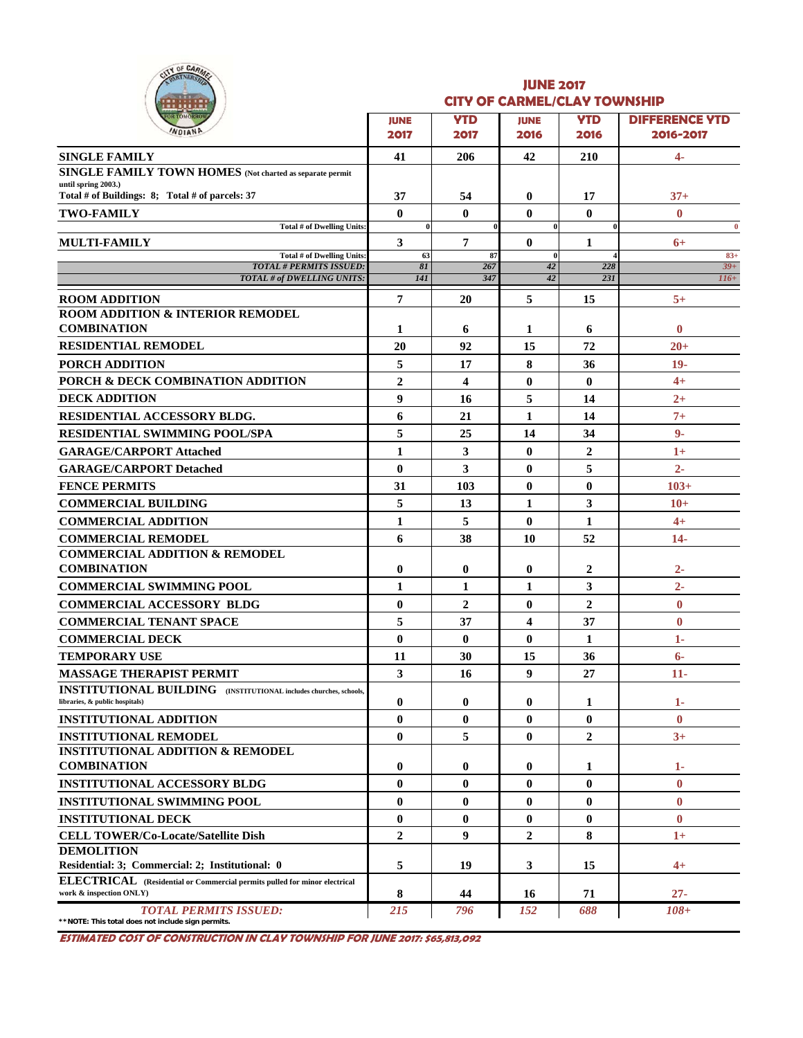|        |               | <b>SF CARMEL</b> |  |
|--------|---------------|------------------|--|
| ۰<br>ó | Ú             |                  |  |
|        | <b>TOMORE</b> |                  |  |

#### **JUNE 2017 CITY OF CARMEL/CLAY TOWNSHIP**

| <u>.</u>                                                                                             |                 |                |                |                |                       |  |  |
|------------------------------------------------------------------------------------------------------|-----------------|----------------|----------------|----------------|-----------------------|--|--|
| <b>OR TOMORROW</b><br>WDIAN                                                                          |                 | <b>YTD</b>     | <b>JUNE</b>    | <b>YTD</b>     | <b>DIFFERENCE YTD</b> |  |  |
|                                                                                                      | 2017            | 2017           | 2016           | 2016           | 2016-2017             |  |  |
| <b>SINGLE FAMILY</b>                                                                                 | 41              | 206            | 42             | 210            | $4-$                  |  |  |
| SINGLE FAMILY TOWN HOMES (Not charted as separate permit                                             |                 |                |                |                |                       |  |  |
| until spring 2003.)<br>Total # of Buildings: 8; Total # of parcels: 37                               | 37              | 54             | $\bf{0}$       | 17             | $37+$                 |  |  |
| <b>TWO-FAMILY</b>                                                                                    | $\bf{0}$        | $\bf{0}$       | $\bf{0}$       | $\bf{0}$       | $\mathbf{0}$          |  |  |
| Total # of Dwelling Units:                                                                           | $\theta$        |                | 0              |                | $\bf{0}$              |  |  |
| <b>MULTI-FAMILY</b>                                                                                  | 3               | 7              | $\bf{0}$       | 1              | $6+$                  |  |  |
| Total # of Dwelling Units:<br><b>TOTAL # PERMITS ISSUED:</b>                                         | 63<br>8I        | 87<br>267      | $\bf{0}$<br>42 | 228            | $83+$<br>$39+$        |  |  |
| TOTAL # of DWELLING UNITS:                                                                           | 141             | 347            | 42             | 23I            | $116+$                |  |  |
| <b>ROOM ADDITION</b>                                                                                 | $7\phantom{.0}$ | 20             | 5              | 15             | $5+$                  |  |  |
| <b>ROOM ADDITION &amp; INTERIOR REMODEL</b>                                                          |                 |                |                |                |                       |  |  |
| <b>COMBINATION</b>                                                                                   | 1               | 6              | 1              | 6              | $\bf{0}$              |  |  |
| <b>RESIDENTIAL REMODEL</b>                                                                           | 20              | 92             | 15             | 72             | $20 +$                |  |  |
| PORCH ADDITION                                                                                       | 5               | 17             | 8              | 36             | 19.                   |  |  |
| PORCH & DECK COMBINATION ADDITION                                                                    | $\overline{2}$  | 4              | $\bf{0}$       | 0              | $4+$                  |  |  |
| <b>DECK ADDITION</b>                                                                                 | 9               | 16             | 5              | 14             | $2+$                  |  |  |
| <b>RESIDENTIAL ACCESSORY BLDG.</b>                                                                   | 6               | 21             | 1              | 14             | $7+$                  |  |  |
| <b>RESIDENTIAL SWIMMING POOL/SPA</b>                                                                 | 5               | 25             | 14             | 34             | $9-$                  |  |  |
| <b>GARAGE/CARPORT Attached</b>                                                                       | $\mathbf{1}$    | 3              | $\bf{0}$       | $\overline{2}$ | $1+$                  |  |  |
| <b>GARAGE/CARPORT Detached</b>                                                                       | $\mathbf{0}$    | 3              | $\bf{0}$       | 5              | $2 -$                 |  |  |
| <b>FENCE PERMITS</b>                                                                                 | 31              | 103            | $\bf{0}$       | $\bf{0}$       | $103+$                |  |  |
| <b>COMMERCIAL BUILDING</b>                                                                           | 5               | 13             | 1              | 3              | $10+$                 |  |  |
| <b>COMMERCIAL ADDITION</b>                                                                           | $\mathbf{1}$    | 5              | $\bf{0}$       | 1              | $4+$                  |  |  |
|                                                                                                      | 6               | 38             | 10             | 52             | $14-$                 |  |  |
| <b>COMMERCIAL REMODEL</b><br><b>COMMERCIAL ADDITION &amp; REMODEL</b>                                |                 |                |                |                |                       |  |  |
| <b>COMBINATION</b>                                                                                   | $\bf{0}$        | $\bf{0}$       | $\bf{0}$       | 2              | $2 -$                 |  |  |
| <b>COMMERCIAL SWIMMING POOL</b>                                                                      | 1               | 1              | 1              | 3              | $2 -$                 |  |  |
| <b>COMMERCIAL ACCESSORY BLDG</b>                                                                     | $\bf{0}$        | $\overline{2}$ | $\bf{0}$       | 2              | $\bf{0}$              |  |  |
| <b>COMMERCIAL TENANT SPACE</b>                                                                       | 5               | 37             | 4              | 37             | $\bf{0}$              |  |  |
| <b>COMMERCIAL DECK</b>                                                                               | $\mathbf{0}$    | $\mathbf{0}$   | $\bf{0}$       | 1              | $1-$                  |  |  |
| <b>TEMPORARY USE</b>                                                                                 | 11              | 30             | 15             | 36             | $6-$                  |  |  |
| <b>MASSAGE THERAPIST PERMIT</b>                                                                      | 3               | 16             | 9              | 27             | $11-$                 |  |  |
| <b>INSTITUTIONAL BUILDING</b> (INSTITUTIONAL includes churches, schools,                             |                 |                |                |                |                       |  |  |
| libraries, & public hospitals)                                                                       | $\bf{0}$        | $\bf{0}$       | $\bf{0}$       | 1              | $1-$                  |  |  |
| <b>INSTITUTIONAL ADDITION</b>                                                                        | $\bf{0}$        | $\bf{0}$       | $\bf{0}$       | $\bf{0}$       | $\mathbf{0}$          |  |  |
| <b>INSTITUTIONAL REMODEL</b>                                                                         | $\bf{0}$        | 5              | $\bf{0}$       | $\overline{2}$ | $3+$                  |  |  |
| <b>INSTITUTIONAL ADDITION &amp; REMODEL</b>                                                          |                 |                |                |                |                       |  |  |
| <b>COMBINATION</b>                                                                                   | $\bf{0}$        | $\bf{0}$       | $\bf{0}$       | 1              | 1-                    |  |  |
| <b>INSTITUTIONAL ACCESSORY BLDG</b>                                                                  | $\mathbf{0}$    | $\bf{0}$       | $\bf{0}$       | $\bf{0}$       | $\bf{0}$              |  |  |
| <b>INSTITUTIONAL SWIMMING POOL</b>                                                                   | $\bf{0}$        | $\bf{0}$       | $\bf{0}$       | $\bf{0}$       | $\bf{0}$              |  |  |
| <b>INSTITUTIONAL DECK</b>                                                                            | $\bf{0}$        | $\bf{0}$       | $\bf{0}$       | $\bf{0}$       | $\bf{0}$              |  |  |
| <b>CELL TOWER/Co-Locate/Satellite Dish</b>                                                           | $\overline{2}$  | 9              | $\overline{2}$ | 8              | $1+$                  |  |  |
| <b>DEMOLITION</b>                                                                                    |                 |                |                |                |                       |  |  |
| Residential: 3; Commercial: 2; Institutional: 0                                                      | 5               | 19             | 3              | 15             | 4+                    |  |  |
| ELECTRICAL (Residential or Commercial permits pulled for minor electrical<br>work & inspection ONLY) | 8               | 44             | 16             | 71             | $27 -$                |  |  |
| <b>TOTAL PERMITS ISSUED:</b><br>**NOTE: This total does not include sign permits.                    | 215             | 796            | 152            | 688            | $108 +$               |  |  |

**ESTIMATED COST OF CONSTRUCTION IN CLAY TOWNSHIP FOR JUNE 2017: \$65,813,092**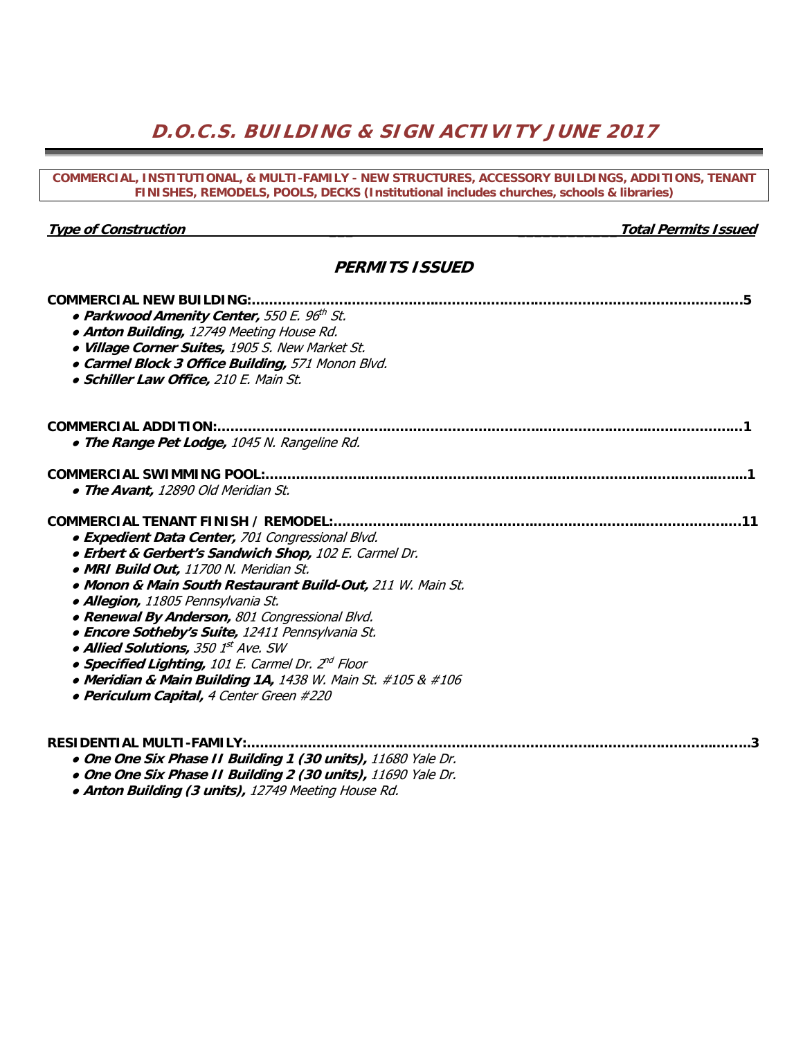# **D.O.C.S. BUILDING & SIGN ACTIVITY JUNE 2017**

| COMMERCIAL, INSTITUTIONAL, & MULTI-FAMILY - NEW STRUCTURES, ACCESSORY BUILDINGS, ADDITIONS, TENANT<br>FINISHES, REMODELS, POOLS, DECKS (Institutional includes churches, schools & libraries)                                                                                                                                                                                                                                                                                                                                                                                    |                             |  |  |  |  |  |  |  |
|----------------------------------------------------------------------------------------------------------------------------------------------------------------------------------------------------------------------------------------------------------------------------------------------------------------------------------------------------------------------------------------------------------------------------------------------------------------------------------------------------------------------------------------------------------------------------------|-----------------------------|--|--|--|--|--|--|--|
|                                                                                                                                                                                                                                                                                                                                                                                                                                                                                                                                                                                  |                             |  |  |  |  |  |  |  |
| <b>Type of Construction</b>                                                                                                                                                                                                                                                                                                                                                                                                                                                                                                                                                      | <b>Total Permits Issued</b> |  |  |  |  |  |  |  |
| <b>PERMITS ISSUED</b><br>• Parkwood Amenity Center, 550 E. 96th St.<br>· Anton Building, 12749 Meeting House Rd.<br>· Village Corner Suites, 1905 S. New Market St.<br>• Carmel Block 3 Office Building, 571 Monon Blvd.<br>· Schiller Law Office, 210 E. Main St.<br>. The Range Pet Lodge, 1045 N. Rangeline Rd.                                                                                                                                                                                                                                                               |                             |  |  |  |  |  |  |  |
| <b>COMMERCIAL NEW BUILDING:</b>                                                                                                                                                                                                                                                                                                                                                                                                                                                                                                                                                  |                             |  |  |  |  |  |  |  |
|                                                                                                                                                                                                                                                                                                                                                                                                                                                                                                                                                                                  |                             |  |  |  |  |  |  |  |
| <b>COMMERCIAL SWIMMING POOL:</b><br>• The Avant, 12890 Old Meridian St.                                                                                                                                                                                                                                                                                                                                                                                                                                                                                                          |                             |  |  |  |  |  |  |  |
| • Expedient Data Center, 701 Congressional Blvd.<br>• Erbert & Gerbert's Sandwich Shop, 102 E. Carmel Dr.<br>· MRI Build Out, 11700 N. Meridian St.<br>. Monon & Main South Restaurant Build-Out, 211 W. Main St.<br>· Allegion, 11805 Pennsylvania St.<br>• Renewal By Anderson, 801 Congressional Blvd.<br>• Encore Sotheby's Suite, 12411 Pennsylvania St.<br>• Allied Solutions, 350 1st Ave. SW<br>• Specified Lighting, 101 E. Carmel Dr. 2 <sup>nd</sup> Floor<br>• Meridian & Main Building 1A, 1438 W. Main St. #105 & #106<br>· Periculum Capital, 4 Center Green #220 |                             |  |  |  |  |  |  |  |
| . One One Six Phase II Building 1 (30 units), 11680 Yale Dr.<br>. One One Six Phase II Building 2 (30 units), 11690 Yale Dr.                                                                                                                                                                                                                                                                                                                                                                                                                                                     |                             |  |  |  |  |  |  |  |

● **Anton Building (3 units),** 12749 Meeting House Rd.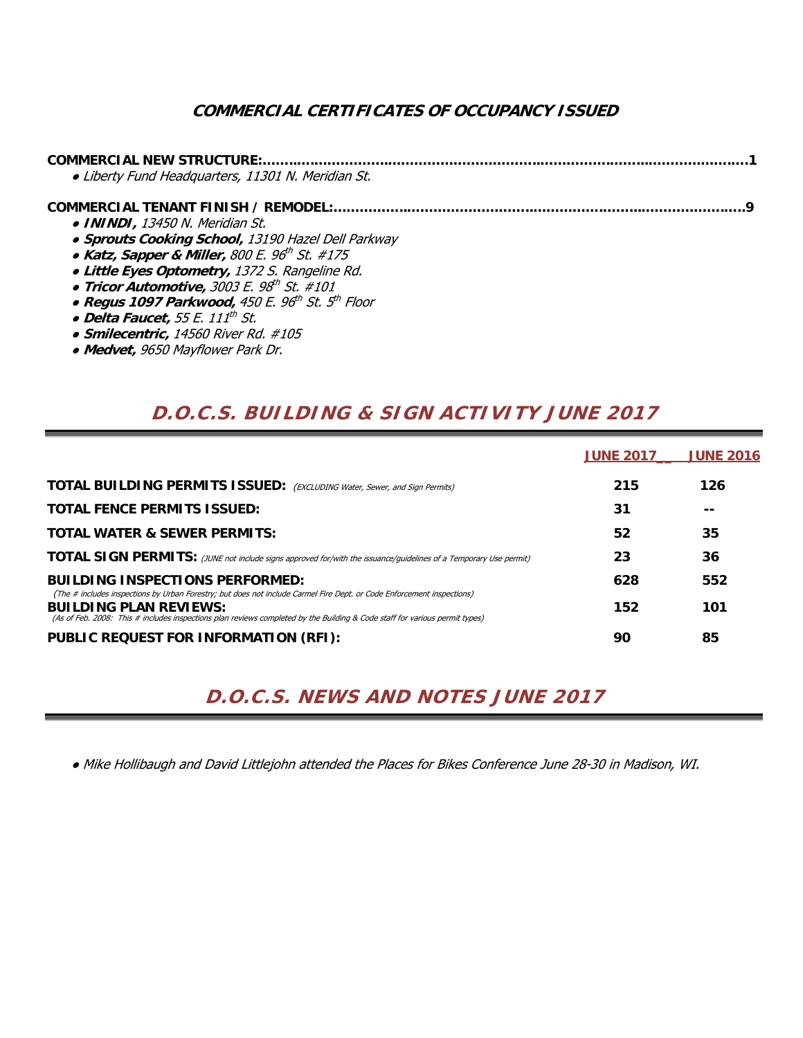## **COMMERCIAL CERTIFICATES OF OCCUPANCY ISSUED**

| <b>COMMERCIAL NEW STRUCTURE:</b>                                         |  |
|--------------------------------------------------------------------------|--|
| · Liberty Fund Headquarters, 11301 N. Meridian St.                       |  |
|                                                                          |  |
| • ININDI, 13450 N. Meridian St.                                          |  |
| • Sprouts Cooking School, 13190 Hazel Dell Parkway                       |  |
| • Katz, Sapper & Miller, 800 E. $96^{\text{th}}$ St. #175                |  |
| · Little Eyes Optometry, 1372 S. Rangeline Rd.                           |  |
| • Tricor Automotive, $3003$ E. $98^{th}$ St. #101                        |  |
| • Regus 1097 Parkwood, 450 E. 96 <sup>th</sup> St. 5 <sup>th</sup> Floor |  |
| · Delta Faucet, 55 E. 111 <sup>th</sup> St.                              |  |
| • Smilecentric, 14560 River Rd. #105                                     |  |

● **Medvet,** 9650 Mayflower Park Dr.

# **D.O.C.S. BUILDING & SIGN ACTIVITY JUNE 2017**

|                                                                                                                                                                  | <b>JUNE 2017</b> | <b>JUNE 2016</b> |
|------------------------------------------------------------------------------------------------------------------------------------------------------------------|------------------|------------------|
| <b>TOTAL BUILDING PERMITS ISSUED:</b> (EXCLUDING Water, Sewer, and Sign Permits)                                                                                 | 215              | 126              |
| <b>TOTAL FENCE PERMITS ISSUED:</b>                                                                                                                               | 31               |                  |
| <b>TOTAL WATER &amp; SEWER PERMITS:</b>                                                                                                                          | 52               | 35               |
| <b>TOTAL SIGN PERMITS:</b> (JUNE not include signs approved for/with the issuance/guidelines of a Temporary Use permit)                                          | 23               | 36               |
| <b>BUILDING INSPECTIONS PERFORMED:</b><br>(The # includes inspections by Urban Forestry; but does not include Carmel Fire Dept. or Code Enforcement inspections) | 628              | 552              |
| <b>BUILDING PLAN REVIEWS:</b><br>(As of Feb. 2008: This # includes inspections plan reviews completed by the Building & Code staff for various permit types)     | 152              | 101              |
| PUBLIC REQUEST FOR INFORMATION (RFI):                                                                                                                            | 90               | 85               |

# **D.O.C.S. NEWS AND NOTES JUNE 2017**

● Mike Hollibaugh and David Littlejohn attended the Places for Bikes Conference June 28-30 in Madison, WI.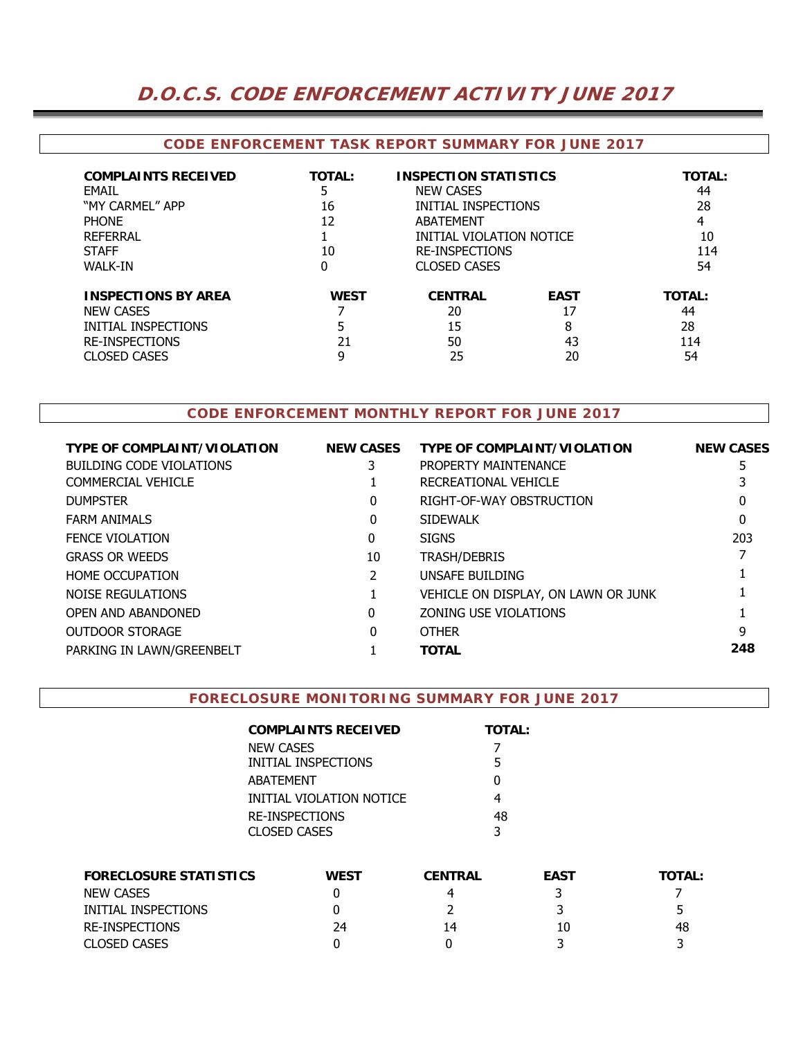## **D.O.C.S. CODE ENFORCEMENT ACTIVITY JUNE 2017**

#### **CODE ENFORCEMENT TASK REPORT SUMMARY FOR JUNE 2017**

| <b>COMPLAINTS RECEIVED</b><br>EMAIL<br>"MY CARMEL" APP<br><b>PHONE</b><br>REFERRAL<br><b>STAFF</b><br>WALK-IN         | <b>TOTAL:</b><br>5<br>16<br>12<br>10<br>0 | <b>INSPECTION STATISTICS</b><br><b>NEW CASES</b><br>INITIAL INSPECTIONS<br>ABATFMFNT<br><b>INITIAL VIOLATION NOTICE</b><br><b>RE-INSPECTIONS</b><br><b>CLOSED CASES</b> |                                    | <b>TOTAL:</b><br>44<br>28<br>4<br>10<br>114<br>54 |
|-----------------------------------------------------------------------------------------------------------------------|-------------------------------------------|-------------------------------------------------------------------------------------------------------------------------------------------------------------------------|------------------------------------|---------------------------------------------------|
| <b>INSPECTIONS BY AREA</b><br><b>NEW CASES</b><br>INITIAL INSPECTIONS<br><b>RE-INSPECTIONS</b><br><b>CLOSED CASES</b> | <b>WEST</b><br>21<br>9                    | <b>CENTRAL</b><br>20<br>15<br>50<br>25                                                                                                                                  | <b>EAST</b><br>17<br>8<br>43<br>20 | <b>TOTAL:</b><br>44<br>28<br>114<br>54            |

### **CODE ENFORCEMENT MONTHLY REPORT FOR JUNE 2017**

| <b>TYPE OF COMPLAINT/VIOLATION</b> | <b>NEW CASES</b> | <b>TYPE OF COMPLAINT/VIOLATION</b>  | <b>NEW CASES</b> |
|------------------------------------|------------------|-------------------------------------|------------------|
| BUILDING CODE VIOLATIONS           |                  | PROPERTY MAINTENANCE                | 5                |
| COMMERCIAL VEHICLE                 |                  | RECREATIONAL VEHICLE                |                  |
| <b>DUMPSTER</b>                    | 0                | RIGHT-OF-WAY OBSTRUCTION            | 0                |
| <b>FARM ANIMALS</b>                | 0                | <b>SIDEWALK</b>                     | 0                |
| <b>FENCE VIOLATION</b>             | 0                | <b>SIGNS</b>                        | 203              |
| <b>GRASS OR WEEDS</b>              | 10               | TRASH/DEBRIS                        |                  |
| <b>HOME OCCUPATION</b>             |                  | UNSAFE BUILDING                     |                  |
| NOISE REGULATIONS                  |                  | VEHICLE ON DISPLAY, ON LAWN OR JUNK |                  |
| OPEN AND ABANDONED                 | 0                | ZONING USE VIOLATIONS               |                  |
| OUTDOOR STORAGE                    | 0                | <b>OTHER</b>                        | q                |
| PARKING IN LAWN/GREENBELT          |                  | <b>TOTAL</b>                        | 248              |
|                                    |                  |                                     |                  |

#### **FORECLOSURE MONITORING SUMMARY FOR JUNE 2017**

| COMPLAINTS RECEIVED      | <b>TOTAL:</b> |
|--------------------------|---------------|
| NEW CASES                |               |
| INITIAL INSPECTIONS      | 5             |
| ABATEMENT                | O             |
| INITIAL VIOLATION NOTICE | 4             |
| RE-INSPECTIONS           | 48            |
| CLOSED CASES             | 3             |

| <b>FORECLOSURE STATISTICS</b> | <b>WEST</b> | <b>CENTRAL</b> | <b>EAST</b> | <b>TOTAL:</b> |
|-------------------------------|-------------|----------------|-------------|---------------|
| <b>NEW CASES</b>              |             | 4              |             |               |
| INITIAL INSPECTIONS           |             |                |             |               |
| RE-INSPECTIONS                | 24          | 14             | 10          | 48            |
| <b>CLOSED CASES</b>           |             |                |             |               |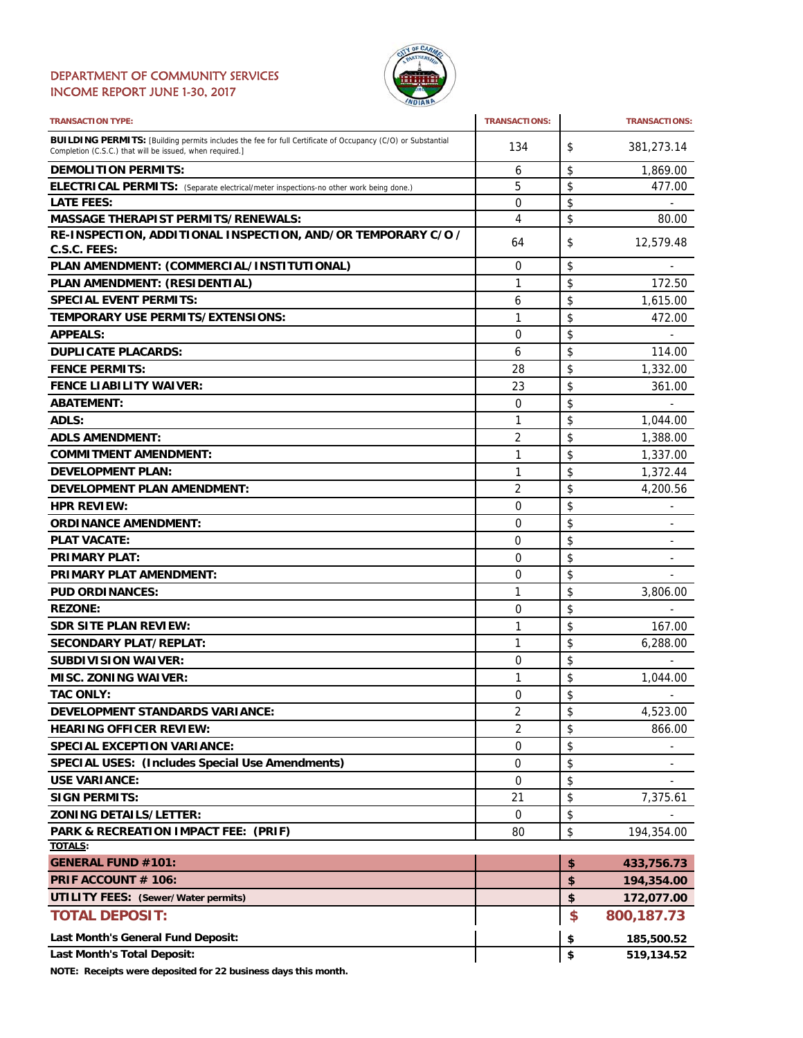#### DEPARTMENT OF COMMUNITY SERVICES INCOME REPORT JUNE 1-30, 2017



| <b>TRANSACTION TYPE:</b>                                                                                                                                                       | <b>TRANSACTIONS:</b> | <b>TRANSACTIONS:</b> |
|--------------------------------------------------------------------------------------------------------------------------------------------------------------------------------|----------------------|----------------------|
| <b>BUILDING PERMITS:</b> [Building permits includes the fee for full Certificate of Occupancy (C/O) or Substantial<br>Completion (C.S.C.) that will be issued, when required.] | 134                  | \$<br>381,273.14     |
| <b>DEMOLITION PERMITS:</b>                                                                                                                                                     | 6                    | \$<br>1,869.00       |
| ELECTRICAL PERMITS: (Separate electrical/meter inspections-no other work being done.)                                                                                          | 5                    | \$<br>477.00         |
| <b>LATE FEES:</b>                                                                                                                                                              | 0                    | \$                   |
| <b>MASSAGE THERAPIST PERMITS/RENEWALS:</b>                                                                                                                                     | 4                    | \$<br>80.00          |
| RE-INSPECTION, ADDITIONAL INSPECTION, AND/OR TEMPORARY C/O /<br>C.S.C. FEES:                                                                                                   | 64                   | \$<br>12,579.48      |
| PLAN AMENDMENT: (COMMERCIAL/INSTITUTIONAL)                                                                                                                                     | 0                    | \$                   |
| PLAN AMENDMENT: (RESIDENTIAL)                                                                                                                                                  | 1                    | \$<br>172.50         |
| <b>SPECIAL EVENT PERMITS:</b>                                                                                                                                                  | 6                    | \$<br>1,615.00       |
| TEMPORARY USE PERMITS/EXTENSIONS:                                                                                                                                              | 1                    | \$<br>472.00         |
| <b>APPEALS:</b>                                                                                                                                                                | 0                    | \$                   |
| <b>DUPLICATE PLACARDS:</b>                                                                                                                                                     | 6                    | \$<br>114.00         |
| <b>FENCE PERMITS:</b>                                                                                                                                                          | 28                   | \$<br>1,332.00       |
| <b>FENCE LIABILITY WAIVER:</b>                                                                                                                                                 | 23                   | \$<br>361.00         |
| <b>ABATEMENT:</b>                                                                                                                                                              | 0                    | \$                   |
| ADLS:                                                                                                                                                                          | 1                    | \$<br>1,044.00       |
| <b>ADLS AMENDMENT:</b>                                                                                                                                                         | 2                    | \$<br>1,388.00       |
| <b>COMMITMENT AMENDMENT:</b>                                                                                                                                                   | 1                    | \$<br>1,337.00       |
| <b>DEVELOPMENT PLAN:</b>                                                                                                                                                       | 1                    | \$<br>1,372.44       |
| <b>DEVELOPMENT PLAN AMENDMENT:</b>                                                                                                                                             | 2                    | \$                   |
|                                                                                                                                                                                |                      | \$<br>4,200.56       |
| <b>HPR REVIEW:</b>                                                                                                                                                             | 0                    | -                    |
| <b>ORDINANCE AMENDMENT:</b>                                                                                                                                                    | 0                    | \$<br>٠              |
| <b>PLAT VACATE:</b>                                                                                                                                                            | 0                    | \$                   |
| <b>PRIMARY PLAT:</b>                                                                                                                                                           | 0                    | \$                   |
| PRIMARY PLAT AMENDMENT:                                                                                                                                                        | 0                    | \$                   |
| <b>PUD ORDINANCES:</b>                                                                                                                                                         | 1                    | \$<br>3,806.00       |
| <b>REZONE:</b>                                                                                                                                                                 | 0                    | \$                   |
| <b>SDR SITE PLAN REVIEW:</b>                                                                                                                                                   | 1                    | \$<br>167.00         |
| <b>SECONDARY PLAT/REPLAT:</b>                                                                                                                                                  | 1                    | \$<br>6,288.00       |
| <b>SUBDIVISION WAIVER:</b>                                                                                                                                                     | 0                    | \$                   |
| <b>MISC. ZONING WAIVER:</b>                                                                                                                                                    | 1                    | \$<br>1,044.00       |
| <b>TAC ONLY:</b>                                                                                                                                                               | $\Omega$             | \$                   |
| <b>DEVELOPMENT STANDARDS VARIANCE:</b>                                                                                                                                         | 2                    | \$<br>4,523.00       |
| <b>HEARING OFFICER REVIEW:</b>                                                                                                                                                 | 2                    | \$<br>866.00         |
| <b>SPECIAL EXCEPTION VARIANCE:</b>                                                                                                                                             | 0                    | \$                   |
| <b>SPECIAL USES: (Includes Special Use Amendments)</b>                                                                                                                         | 0                    | \$                   |
| <b>USE VARIANCE:</b>                                                                                                                                                           | 0                    | \$                   |
| <b>SIGN PERMITS:</b>                                                                                                                                                           | 21                   | \$<br>7,375.61       |
| <b>ZONING DETAILS/LETTER:</b>                                                                                                                                                  | 0                    | \$                   |
| PARK & RECREATION IMPACT FEE: (PRIF)                                                                                                                                           | 80                   | \$<br>194,354.00     |
| <b>TOTALS:</b>                                                                                                                                                                 |                      |                      |
| <b>GENERAL FUND #101:</b>                                                                                                                                                      |                      | \$<br>433,756.73     |
| PRIF ACCOUNT # 106:                                                                                                                                                            |                      | \$<br>194,354.00     |
| <b>UTILITY FEES: (Sewer/Water permits)</b>                                                                                                                                     |                      | \$<br>172,077.00     |
| <b>TOTAL DEPOSIT:</b>                                                                                                                                                          |                      | \$<br>800,187.73     |
| Last Month's General Fund Deposit:                                                                                                                                             |                      | \$<br>185,500.52     |
| <b>Last Month's Total Deposit:</b>                                                                                                                                             |                      | \$<br>519,134.52     |

**NOTE: Receipts were deposited for 22 business days this month.**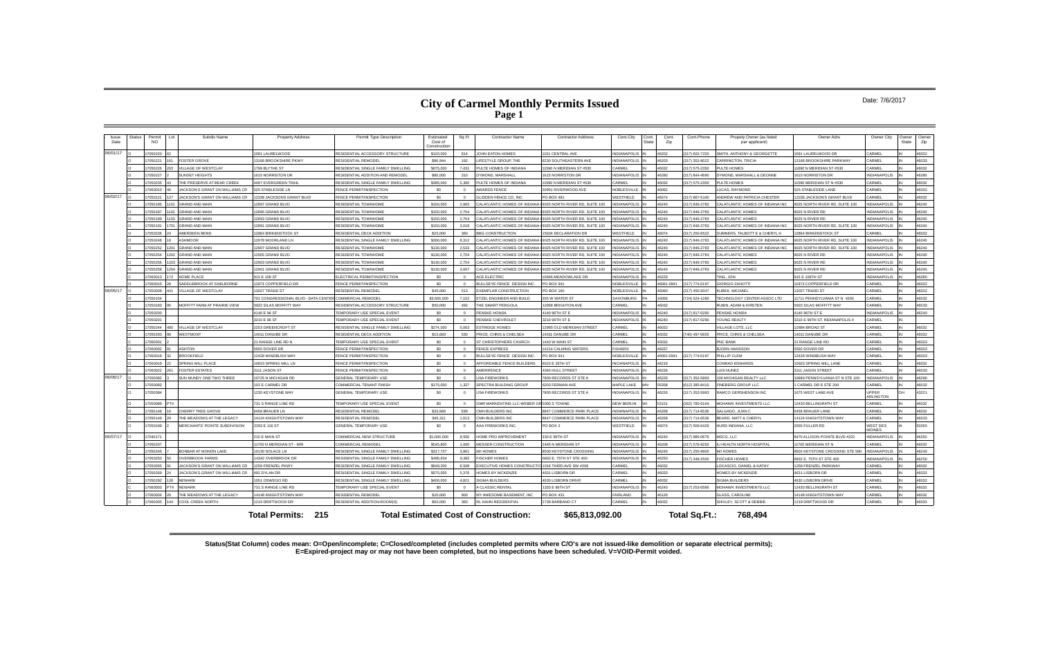#### Date: 7/6/2017

| Issue<br>Date | <b>Status</b> | Permit<br><b>NO</b> | $L_{01}$ | Subdiv Name                                 | <b>Property Address</b>                                 | Permit Type Description             | Estimated<br>Cost of<br>Construction | Sq Ft          | <b>Contractor Name</b>                                    | <b>Contractor Address</b>       | Cont.City           | Cont.<br>State | Cont.<br>Zip | Cont.Phone     | Propety Owner (as listed<br>per applicant) | Owner Adrs                      | Owner City                   | Owner<br>State | Owner<br>Zip |
|---------------|---------------|---------------------|----------|---------------------------------------------|---------------------------------------------------------|-------------------------------------|--------------------------------------|----------------|-----------------------------------------------------------|---------------------------------|---------------------|----------------|--------------|----------------|--------------------------------------------|---------------------------------|------------------------------|----------------|--------------|
| 06/01/17      |               | 7050220             | 62       |                                             | 1091 LAURELWOOD                                         | RESIDENTIAL ACCESSORY STRUCTURE     | \$120,000                            | 814            | JOHN EATON HOMES                                          | 1101 CENTRAL AVE                | <b>INDIANAPOLIS</b> |                | 46202        | 317) 602-7220  | SMITH, ANTHONY & GEORGETTE                 | 1091 LAURELWOOD DR              | CARMEL                       |                | 46032        |
|               |               | 7050221             |          | OSTER GROVE                                 | 13166 BROOKSHIRE PKWY                                   | RESIDENTIAL REMODEI                 | \$86,944                             | 192            | <b>IFESTYLE GROUP, THE</b>                                | 6230 SOUTHEASTERN AVE           | NDIANAPOLIS         |                | 46203        | 317) 352-9022  | <b>CARRINGTON, TRICIA</b>                  | 3166 BROOKSHIRE PARKWAY         | <b>ARMEL</b>                 |                | 46033        |
|               |               | 7050226             |          | <b>ILLAGE OF WESTCLAY</b>                   | 1799 BI YTHE ST                                         | RESIDENTIAL SINGLE FAMILY DWELLING  | \$675,000                            | 7.431          | PULTE HOMES OF INDIANA                                    | 11590 N MERIDIAN ST #530        | CARMEL              |                | 46032        | 317) 575-2350  | <b>UITE HOMES</b>                          | 1690 N MERIDIAN ST #530         | CARMEL                       |                | 46032        |
|               |               | 7050227             |          | UNSET HEIGHTS                               | 1615 NORRISTON DR                                       | RESIDENTIAL ADDITION AND REMODEL    | \$80,000                             | 310            | DYMOND, MARSHALL                                          | 1615 NORRISTON DR               | <b>INDIANAPOLIS</b> |                | 46280        | 317) 844-4690  | YMOND, MARSHALL & DEONNE                   | 615 NORRISTON DR                | <b>NDIANAPOLIS</b>           |                | 46280        |
|               |               | 7050235             |          | HE PRESERVE AT BEAR CREEK                   | <b>4497 EVERGREEN TRAIL</b>                             | RESIDENTIAL SINGLE FAMILY DWELLING  | \$395,000                            | 5.360          | PULTE HOMES OF INDIANA                                    | 11590 N MERIDIAN ST #530        | ARMEL               |                | 46032        | 317) 575-2350  | <b>UITE HOMES</b>                          | 1590 MERIDIAN ST N #530         | CARMEL                       |                | 46032        |
|               |               | 7060010             |          | <b>ACKSON'S GRANT ON WILLIAMS CR</b>        | 525 STABLESIDE LN                                       | FENCE PERMIT/INSPECTION             | \$0                                  | $\sqrt{2}$     | AWARDS FENCE                                              | 20951 RIVERWOOD AVE             | NORI ESVILLI        |                | 46062        |                | <b>UCAS, RAYMOND</b>                       | <b>25 STABLESIDE LANE</b>       | ARMEI                        |                | 46032        |
| 06/02/17      |               | 7050121             |          | ACKSON'S GRANT ON WILLIAMS CR               | 12339 JACKSONS GRANT BLVD                               | FENCE PERMIT/INSPECTION             | \$0                                  | $\Omega$       | GLIDDEN FENCE CO. INC                                     | PO BOX 481                      | WESTFIELD           |                | 46074        | (317) 867-5140 | ANDREW AND PATRICIA CHESTER                | 2339 JACKSON'S GRANT BLVD       | CARMEL                       |                | 46032        |
|               |               | 7050185             |          | <b>GRAND AND MAIN</b>                       | 12897 GRAND BLVD                                        | <b>RESIDENTIAL TOWNHOME</b>         | \$150,000                            | 2.965          | CALATI ANTIC HOMES OF INDIANA                             | 9025 NORTH RIVER RD, SUITE 100  | <b>VDIANAPOLIS</b>  |                | 46240        | 317) 846-2783  | CALATLANTIC HOMES OF INDIANA INC           | 025 NORTH RIVER RD, SUITE 100   | <b>NDIANAPOLIS</b>           |                | 46240        |
|               |               | 17050187            |          | <b>GRAND AND MAIN</b>                       | 12895 GRAND BLVD                                        | RESIDENTIAI TOWNHOME                | \$150,000                            | 2.754          | CALATLANTIC HOMES OF INDIANA                              | 9025 NORTH RIVER RD. SUITE 100  | <b>VDIANAPOLIS</b>  |                | 46240        | 317) 846-2783  | CALATI ANTIC HOMES                         | 025 N RIVER RD                  | <b>NDIANAPOLIS</b>           |                | 46240        |
|               |               | 7050189             |          | <b>GRAND AND MAIN</b>                       | 12893 GRAND BLVD                                        | RESIDENTIAL TOWNHOME                | \$150,000                            | 2754           | CALATLANTIC HOMES OF INDIANA                              | 9025 NORTH RIVER RD, SUITE 100  | <b>JDIANAPOLIS</b>  |                | 46240        | 317) 846-2783  | CALATLANTIC HOMES                          | 025 N RIVER RD                  | NDIANAPOLIS                  |                | 46240        |
|               |               | 7050191             |          | <b>GRAND AND MAIN</b>                       | 12891 GRAND BLVD                                        | RESIDENTIAL TOWNHOME                | \$150,000                            | 3.018          | CALATLANTIC HOMES OF INDIANA                              | 9025 NORTH RIVER RD, SUITE 100  | NDIANAPOLIS         |                | 46240        | 317) 846-2783  | CALATLANTIC HOMES OF INDIANA INC           | 025 NORTH RIVER RD, SUITE 100   | NDIANAPOLIS                  |                | 46240        |
|               |               | 7050236             |          | <b>BERDEEN BEND</b>                         | 12864 BIRKENSTOCK ST                                    | RESIDENTIAL DECK ADDITION           | \$25,000                             | 360            | <b>BBG CONSTRUCTION</b>                                   | 5034 DECLARATION DR             | WESTFIELD           |                | 46074        | 317) 250-8522  | UMNERS, TALBOTT E & CHERYL H               | 2864 BIRKENSTOCK ST             | CARMEL                       |                | 46032        |
|               |               | 7050248             |          | SHMOOR                                      | 12978 MOORLAND LN                                       | RESIDENTIAL SINGLE FAMILY DWELLING  | \$300,000                            | 8.312          | CALATLANTIC HOMES OF INDIANA                              | 9025 NORTH RIVER RD, SUITE 100  | <b>NDIANAPOLIS</b>  |                | 46240        | 317) 846-2783  | CALATLANTIC HOMES OF INDIANA INC           | 025 NORTH RIVER RD, SUITE 100   | <b>NDIANAPOLIS</b>           |                | 46240        |
|               |               | 7050252             |          | <b>GRAND AND MAIN</b>                       | 12907 GRAND BLVD                                        | <b>RESIDENTIAL TOWNHOME</b>         | \$130,000                            | 2.533          | CALATI ANTIC HOMES OF INDIANA                             | 9025 NORTH RIVER RD, SUITE 100  | <b>DIANAPOLIS</b>   |                | 46240        | 317) 846-2783  | ALATI ANTIC HOMES OF INDIANA INC           | 025 NORTH RIVER RD, SUITE 100   | NDIANAPOLIS                  |                | 46240        |
|               |               | 17050254            |          | <b>GRAND AND MAIN</b>                       | 12905 GRAND BLVD                                        | <b>RESIDENTIAL TOWNHOME</b>         | \$130,000                            | 2.754          | CALATI ANTIC HOMES OF INDIANA                             | 9025 NORTH RIVER RD SLIITE 10   | <b>VDIANAPOLIS</b>  |                | 46240        | 317) 846-2783  | CALATLANTIC HOMES                          | 9025 N RIVER RD                 | NDIANAPOLIS                  |                | 46240        |
|               |               | 7050256             |          | <b>GRAND AND MAIN</b>                       | 12903 GRAND BLVD                                        | <b>RESIDENTIAL TOWNHOME</b>         | \$130,000                            | 2.754          | CALATLANTIC HOMES OF INDIANA                              | 9025 NORTH RIVER RD, SUITE 100  | <b>JDIANAPOLIS</b>  |                | 46240        | 317) 846-2783  | CALATLANTIC HOMES                          | 9025 N RIVER RD                 | <b>NDIANAPOLIS</b>           |                | 46240        |
|               |               | 7050258             |          | <b>GRAND AND MAIN</b>                       | 12901 GRAND BLVD                                        | <b>RESIDENTIAL TOWNHOME</b>         | \$130,000                            | 3.007          | CALATLANTIC HOMES OF INDIANA                              | 9025 NORTH RIVER RD, SUITE 100  | <b>CONDICATION</b>  |                | 46240        | 317) 846-2783  | CALATI ANTIC HOMES                         | 9025 N RIVER RD                 | <b>NDIANAPOLIS</b>           |                | 46240        |
|               |               | 7060013             |          | <b>HOME PLACE</b>                           | 915 E 108 ST                                            | <b>I ECTRICAL PERMIT/INSPECTION</b> | \$0                                  | $\overline{0}$ | <b>ACE ELECTRIC</b>                                       | 10846 MEADOWLAKE DR             | <b>NDIANAPOLIS</b>  |                | 16229        |                | <b>TING, JON</b>                           | 915 E 108TH ST                  | <b>NDIANAPOLIS</b>           |                | 46280        |
|               |               | 7060015             |          | ADDI FBROOK AT SHELBORNE                    | 11973 COPPERFIELD DR                                    | FENCE PERMIT/INSPECTION             | \$0                                  | $\sim$         | BULLSEYE FENCE DESIGN INC.                                | PO BOX 941                      | <b>NOBLESVILLE</b>  |                | 46061-0941   | 317) 774-0197  | <b>GIORGIO ZANOTTI</b>                     | 11973 COPPERFIELD DR            | <b>CARMEL</b>                |                | 46032        |
| 06/05/17      |               | 7050009             |          | <b>ILLAGE OF WESTCLAY</b>                   | 13027 TRADD ST                                          | <b>RESIDENTIAL REMODEL</b>          | \$45,000                             | 513            | <b>EXEMPLAR CONSTRUCTION</b>                              | PO BOX 160                      | <b>NOBLESVILLE</b>  |                | 46060        | 317) 450-5047  | UBEK, MICHAEL                              | 13027 TRADD ST                  | CARMEL                       |                | 46032        |
|               |               | 7050154             |          |                                             | 701 CONGRESSIONAL BLVD - DATA CENTER COMMERCIAL REMODEL |                                     | \$3,500,000                          | 7.152          | TZEL ENGINEER AND BUILD                                   | 205 W WATER ST                  | <b>SAXONRURG</b>    |                | 16056        | 724) 524-1280  | ECHNOLOGY CENTER ASSOC LTD                 | 1711 PENNSYLVANIA ST N #200     | ARMEI                        |                | 46032        |
|               |               | 7050183             |          | <b>MOFFITT FARM AT PRAIRIE VIEW</b>         | 5922 SILAS MOFFITT WAY                                  | RESIDENTIAL ACCESSORY STRUCTURE     | \$50,000                             | 492            | <b>HE SMART PERGOLA</b>                                   | 12958 BRIGHTON AVE              | CARMEL              |                | 46032        |                | <b>RUBIN, ADAM &amp; KIRSTEN</b>           | <b>922 SILAS MOFFITT WAY</b>    | CARMEL                       |                | 46033        |
|               |               | 17050200            |          |                                             | 4140 E 96 ST                                            | TEMPORARY USE SPECIAL EVENT         | \$0                                  | $\Omega$       | PENSKE HONDA                                              | 4140 96TH ST F                  | <b>INDIANAPOLIS</b> |                | 46240        | (317) 817-0290 | <b>PENSKE HONDA</b>                        | 4140 96TH ST F                  | NDIANAPOLIS                  |                | 46240        |
|               |               | 17050201            |          |                                             | 3210 E 96 ST                                            | TEMPORARY USE SPECIAL EVENT         | \$0                                  | $\Omega$       | PENSKE CHEVROLET                                          | 3210 96TH ST E                  | <b>INDIANAPOLIS</b> |                | 46240        | 317) 817-0290  | YOUNG REALTY                               | 3210 E 96TH ST. INDIANAPOLIS 4  | CARMEL                       |                |              |
|               |               | 7050244             |          | <b>ILLAGE OF WESTCLAY</b>                   | 2253 GREENCROFT ST                                      | RESIDENTIAL SINGLE FAMILY DWELLING  | \$274,000                            | 5.063          | <b>ESTRIDGE HOMES</b>                                     | <b>2965 OLD MERIDIAN STREET</b> | CARMEL              |                | 46032        |                | ILLAGE LOTS, LLC                           | 12884 BROAD ST                  | CARMEL                       |                | 46032        |
|               |               | 7050293             |          | <b>NESTMONT</b>                             | 14011 DANUBE DR                                         | RESIDENTIAL DECK ADDITION           | \$13,683                             | 530            | PRICE, CHRIS & CHELSEA                                    | 14011 DANUBE DR                 | CARMEL              |                | 16032        | 740) 497-0655  | PRICE, CHRIS & CHELSEA                     | 14011 DANUBE DF                 | CARMEL                       |                | 46032        |
|               |               | 17060001            |          |                                             | 21 RANGE LINE RD N                                      | TEMPORARY USE SPECIAL EVENT         | \$0                                  | $\sim$         | ST CHRISTOPHERS CHURCH                                    | 1440 W MAIN ST                  | CARMEL              |                | 46032        |                | PNC BANK                                   | 1 RANGE LINE RD                 | <b>ARME</b>                  |                | 46033        |
|               |               | 7060002             |          | <b>SHTON</b>                                | 5550 DOVER DR                                           | FENCE PERMIT/INSPECTION             | \$0                                  | $\Omega$       | <b>FENCE EXPRESS</b>                                      | 14214 CALMING WATERS            | <b>ISHERS</b>       |                | 46037        |                | <b>BJORN HANSSON</b>                       | 550 DOVER DR                    | CARMEL                       |                | 46033        |
|               |               | 8100807             |          | <b>ROOKFIFI D</b>                           | 12428 WINDRUSH WAY                                      | FENCE PERMIT/INSPECTION             | - \$0                                | $\Omega$       | BULLSEYE FENCE DESIGN INC.                                | PO BOX 941                      | NOBLESVILLE         |                | 46061-0941   | 317) 774-0197  | <b>PHILLIP CLEM</b>                        | 12428 WINDRLISH WAY             | <b>ARMEL</b>                 |                | 46033        |
|               |               | 7060019             |          | PRING MILL PLACE                            | 10923 SPRING MILL LN                                    | FENCE PERMIT/INSPECTION             | \$0                                  | $\Omega$       | AFFORDABLE FENCE BUILDERS                                 | 6023 E 26TH ST                  | NCIANAPOLIS         |                | 16219        |                | CONRAD EDWARDS                             | 0923 SPRING MILL LANE           | CARMEL                       |                | 46032        |
|               |               | 7060022             |          | <b>OSTER ESTATES</b>                        | 3111 JASON ST                                           | FENCE PERMIT/INSPECTION             | \$0                                  | $\overline{0}$ | AMERIFENCE                                                | 4340 HULL STREET                | <b>INDIANAPOLIS</b> |                | 46226        |                | <b>UIS NUNEZ</b>                           | <b>111 JASON STREET</b>         | CARMEL                       |                | 46033        |
| 06/06/17      |               | 7050082             |          | UN MUNDY ONE TWO THREE                      | 10725 N MICHIGAN RD                                     | <b>GENERAL TEMPORARY USE</b>        | \$0                                  | $\Omega$       | <b>USA FIREWORKS</b>                                      | 7800 RECORDS ST STE A           | <b>INDIANAPOLIS</b> |                | 46226        | (317) 352-5993 | 106 MICHIGAN REALTY LLC                    | 10689 PENNSYLVANIA ST N STE 100 | <b>INDIANAPOLIS</b>          |                | 46280        |
|               |               | 7050083             |          |                                             | 102 F CARMEL DR                                         | COMMERCIAL TENANT FINISH            | \$175,000                            | 1.327          | SPECTRA BUILDING GROUP                                    | 6203 FERMAN AVE                 | MAPLE LAKE          |                | 55358        | 612) 385-8410  | INEBERG GROUP LLC                          | CARMEL DR E STE 200             | CARMEL                       |                | 46032        |
|               |               | 7050084             |          |                                             | 1235 KEYSTONE WAY                                       | <b>GENERAL TEMPORARY USE</b>        | \$0                                  | $\Omega$       | <b>USA FIREWORKS</b>                                      | 7800 RECORDS ST STE A           | NDIANAPOLIS         |                | 46226        | 317) 352-5993  | RAMCO GERSHENSON INC                       | 675 WEST LANE AVE               | <b>JPPER</b><br>ARLINGTON    |                | 43221        |
|               |               | 7050089             |          |                                             | 731 S RANGE LINE RD                                     | TEMPORARY USE SPECIAL EVENT         | \$0                                  | $\Omega$       | GMR MARKENTING LLC-WEBER GR 5000 S TOWNE                  |                                 | NFW BFRI IN         |                | 53151        | 262) 780-6164  | <b>MOHAWK INVESTMENTS LLC</b>              | 12430 BELLINGRATH ST            | CARMEL                       |                | 46032        |
|               |               | 7050148             |          | HERRY TREE GROVE                            | 6458 BRAUER LN                                          | RESIDENTIAL REMODEL                 | \$33,969                             | 599            | CMH BUILDERS INC                                          | 8847 COMMERCE PARK PLACE        | NDIANAPOLIS         |                | 16268        | 317) 714-6536  | ALGADO, JUAN C                             | 6458 BRAUER LANE                | CARMEL                       |                | 46032        |
|               |               | 17050149            |          | HE MEADOWS AT THE LEGACY                    | 14124 KNIGHTSTOWN WAY                                   | RESIDENTIAL REMODE                  | \$45,311                             | 1,013          | CMH BUILDERS INC                                          | 8847 COMMERCE PARK PLACE        | <b>INDIANAPOLIS</b> |                | 46268        | (317) 714-6536 | <b>BEARD, MATT &amp; CHERYL</b>            | 14124 KNIGHTSTOWN WAY           | CARMEL                       |                | 46033        |
|               |               | 7050199             |          | <b><i>MERCHANTS' POINTE SUBDIVISION</i></b> | 2293 E 116 ST                                           | <b>GENERAL TEMPORARY USE</b>        | \$0                                  | $\Omega$       | AAA FIREWORKS INC.                                        | PO BOX 2                        | WESTFIELD           |                | 46074        | (317) 509-6429 | <b>IURD INDIANA, LLC</b>                   | 2000 FULLER RD                  | <b><i>NEST DES</i></b>       |                | 50265        |
| 06/07/17      |               | 17040171            |          |                                             | 210 E MAIN ST                                           | COMMERCIAL NEW STRUCTURE            | \$1,000,000                          | 8,500          | HOME PRO IMPROVEMENT                                      | 330 E 86TH ST                   | <b>INDIANAPOLIS</b> |                | 46240        | (317) 985-0676 | <b>MSCG, LLC</b>                           | 3470 ALLISON POINTE BLVD #222   | <b>MOINES</b><br>NDIANAPOLIS |                | 46250        |
|               |               | 7050207             |          |                                             | 11700 N MERIDIAN ST - MRI                               | COMMERCIAL REMODE                   | \$545,800                            | 1.000          | <b>MESSER CONSTRUCTION</b>                                | 2445 N MERIDIAN ST              | <b>INDIANAPOLIS</b> |                | 46208        | 317) 576-9250  | HEALTH NORTH HOSPITAL                      | 1700 MERIDIAN ST N              | CARMEL                       |                | 46032        |
|               |               | 17050246            |          | ONRAR AT MONON LAKE                         | 10130 SOLACE LN                                         | RESIDENTIAL SINGLE FAMILY DWELLING  | \$317,727                            | 3.961          | M/I HOMES                                                 | 8500 KEYSTONE CROSSING          | <b>INDIANAPOLIS</b> |                | 46240        | 317) 255-9900  | <b>MIHOMES</b>                             | 3500 KEYSTONE CROSSING STE 590  | <b>INDIANAPOLIS</b>          |                | 46240        |
|               |               | 7050250             |          | <b>OVERBROOK FARMS</b>                      | 14342 OVERBROOK DR                                      | RESIDENTIAL SINGLE FAMILY DWELLING  | \$495.634                            | 9.382          | <b>FISCHER HOMES</b>                                      | 6602 E. 75TH ST STE 400         | <b>INDIANAPOLIS</b> |                | 46250        | 317) 348-2500  | <b>ISCHER HOMES</b>                        | 6602 E. 75TH ST STE 400         | <b>NDIANAPOLIS</b>           |                | 46250        |
|               |               | 7050265             |          | <b>ACKSON'S GRANT ON WILLIAMS CR</b>        | 1259 FRENZEL PKWY                                       | RESIDENTIAL SINGLE FAMILY DWELLING  | \$648,200                            | 6.508          | <b>EXECUTIVE HOMES CONSTRUCTIC 1016 THIRD AVE SW #206</b> |                                 | CARMEL              |                | 16032        |                | OCASCIO, DANIEL & KATHY                    | 1259 FRENZEL PARKWAY            | CARME                        |                | 46032        |
|               |               | 7050269             |          | ACKSON'S GRANT ON WILLIAMS CR               | 492 DYLAN DR                                            | RESIDENTIAL SINGLE FAMILY DWELLING  | \$575,000                            | 5,376          | HOMES BY MCKENZIE                                         | 4631 LISBORN DR                 | CARMEL              |                | 46033        |                | HOMES BY MCKENZIE                          | 4631 LISBORN DR                 | CARMEL                       |                | 46033        |
|               |               | 7050292             |          | NEWARK                                      | 1051 OSWEGO RD                                          | RESIDENTIAL SINGLE FAMILY DWELLING  | \$400,000                            | 4,821          | SIGMA BUILDERS                                            | 4630 LISBORN DRIVE              | CARMEL              |                | 46032        |                | SIGMA BUILDERS                             | <b>4630 LISBORN DRIVE</b>       | CARMEL                       |                | 46032        |
|               |               | 7060003             |          | <b>NFWARK</b>                               | 731 S RANGE LINE RD                                     | TEMPORARY USE SPECIAL EVENT         | \$0                                  | $\Omega$       | A CLASSIC RENTAL                                          | 1333 E 86TH ST                  | <b>INDIANAPOLIS</b> |                | 16240        | 317) 253-0586  | MOHAWK INVESTMENTS LLC                     | 2430 BELLINGRATH ST             | <b>ARMEL</b>                 |                | 46032        |
|               |               | 7060004             |          | HE MEADOWS AT THE LEGACY                    | 14148 KNIGHTSTOWN WAY                                   | RESIDENTIAL REMODEL                 | \$20,000                             | 900            | MY AWESOME BASEMENT, INC                                  | PO BOX 431                      | <b>FAIRLAND</b>     |                | 16126        |                | <b>GLASS, CAROLINE</b>                     | 4148 KNIGHTSTOWN WAY            | CARMEI                       |                | 46032        |
|               |               | 7060005             |          | COOL CREEK NORTH                            | 1219 DRIFTWOOD DR                                       | RESIDENTIAL ADDITION-ROOM(S)        | \$60,000                             | 360            | RL HAHN RESIDENTIAL                                       | 2739 BARBANO CT                 | CARMEL              |                | 46032        |                | SHIVLEY, SCOTT & DEBBIE                    | 219 DRIFTWOOD DR                | CARMEL                       |                | 46033        |
|               |               |                     |          |                                             | <b>Total Permits: 215</b>                               |                                     |                                      |                | <b>Total Estimated Cost of Construction:</b>              | \$65,813,092.00                 |                     |                |              | Total Sq.Ft.:  | 768,494                                    |                                 |                              |                |              |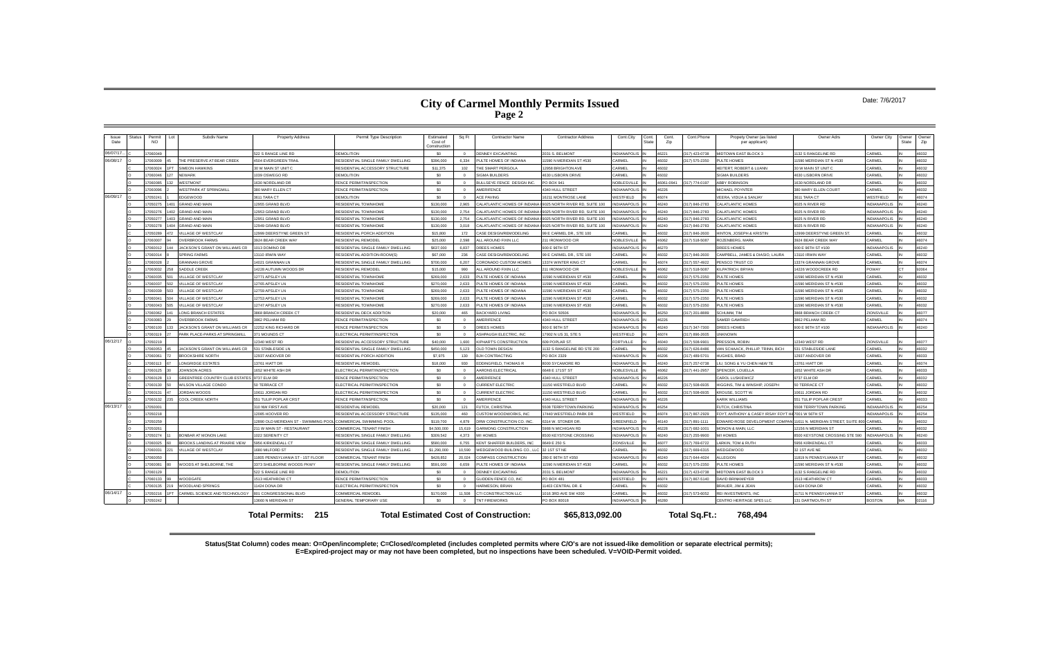#### Date: 7/6/2017

| Issue<br>Date | <b>Status</b> | Permit<br><b>NO</b> | $L_{01}$   | Subdiv Name                               | <b>Property Address</b>                                        | Permit Type Description            | Estimated<br>Cost of<br>Construction | Sq Ft          | <b>Contractor Name</b>                       | <b>Contractor Address</b>      | Cont.City           | Cont.<br>State | Cont.<br>Zip | Cont.Phone     | Propety Owner (as listed<br>per applicant) | Owner Adrs                         | Owner City          | Owner<br>State | Owner<br>Zip |
|---------------|---------------|---------------------|------------|-------------------------------------------|----------------------------------------------------------------|------------------------------------|--------------------------------------|----------------|----------------------------------------------|--------------------------------|---------------------|----------------|--------------|----------------|--------------------------------------------|------------------------------------|---------------------|----------------|--------------|
| 06/07/17      |               | 17060049            |            |                                           | 522 S RANGE LINE RD                                            | <b>DEMOLITION</b>                  | \$0                                  | $\Omega$       | <b>DENNEY EXCAVATING</b>                     | 2031 S. BELMONT                | <b>INDIANAPOLIS</b> |                | 46221        | 317) 423-0738  | <b>MIDTOWN EAST BLOCK 3</b>                | 132 S RANGELINE RD                 | CARMEL              |                | 46032        |
| 06/08/17      |               | 7060009             |            | THE PRESERVE AT BEAR CREEK                | 4504 EVERGREEN TRAIL                                           | RESIDENTIAL SINGLE FAMILY DWELLING | \$396,000                            | 6.334          | PULTE HOMES OF INDIANA                       | 11590 N MERIDIAN ST #530       | ARMFI               |                | 46032        | 317) 575-2350  | <b>ULTE HOMES</b>                          | 1590 MERIDIAN ST N #530            | CARMEL              |                | 46032        |
|               |               | 7060024             |            | <b>SIMEON HAWKINS</b>                     | 30 W MAIN ST UNIT C                                            | RESIDENTIAL ACCESSORY STRUCTURE    | \$11,375                             | 102            | THE SMART PERGOLA                            | 12958 BRIGHTON AVE             | CARMEL              |                | 46032        |                | HEITERT, ROBERT & LUANN                    | 30 W MAIN ST UNIT O                | CARMEL              |                | 46032        |
|               |               | 17060046            |            | <b>NEWARK</b>                             | 1039 OSWEGO RD                                                 | <b>DEMOLITION</b>                  | \$0                                  | $\overline{0}$ | SIGMA BUILDERS                               | 4630 LISBORN DRIVE             | CARMEL              |                | 46032        |                | <b>SIGMA BUILDERS</b>                      | <b>4630 LISBORN DRIVE</b>          | CARMEL              |                | 46032        |
|               |               | 7060085             |            | WESTMONT                                  | 1630 NORDLAND DR                                               | FENCE PERMIT/INSPECTION            | \$0                                  | $\Omega$       | BULLSEYE FENCE DESIGN INC.                   | PO BOX 941                     | <b>NOBLESVILLE</b>  |                | 46061-0941   | 317) 774-0197  | <b>ABBY ROBINSON</b>                       | 1630 NORDLAND DR                   | CARMEL              |                | 46032        |
|               |               | 7060096             |            | <b>VESTPARK AT SPRINGMILL</b>             | 380 MARY ELLEN CT                                              | FENCE PERMIT/INSPECTION            | \$0                                  | $\Omega$       | AMERIFENCE                                   | <b>1340 HULL STREET</b>        | <b>INDIANAPOLIS</b> |                | 16226        |                | <b>MICHAEL POYNTER</b>                     | 80 MARY ELLEN COURT                | CARMEL              |                | 46032        |
| 06/09/17      |               | 7050241             |            | DGEWOOD                                   | 3611 TARA CT                                                   | DEMOLITION                         | \$0                                  | $\Omega$       | <b>ACF PAVING</b>                            | 16211 MONTROSE LANE            | WESTFIELD           |                | 46074        |                | VEERA. VIDIJA & SANJAY                     | 3611 TARA CT                       | WESTFIELD           |                | 46074        |
|               |               | 7050275             |            | <b>GRAND AND MAIN</b>                     | 12955 GRAND BLVD                                               | <b>RESIDENTIAL TOWNHOME</b>        | \$130,000                            | 2.965          | <b>CALATI ANTIC HOMES OF INDIANA</b>         | 9025 NORTH RIVER RD, SUITE 100 | <b>VDIANAPOLIS</b>  |                | 46240        | 317) 846-2783  | CALATLANTIC HOMES                          | 9025 N RIVER RD                    | NDIANAPOLIS         |                | 46240        |
|               |               | 7050276             | 1402       | <b>GRAND AND MAIN</b>                     | 12953 GRAND BLVD                                               | <b>RESIDENTIAL TOWNHOME</b>        | \$130,000                            | 2.754          | CALATI ANTIC HOMES OF INDIANA                | 9025 NORTH RIVER RD. SUITE 100 | <b>VDIANAPOLIS</b>  |                | 46240        | 317) 846-2783  | CALATI ANTIC HOMES                         | 9025 N RIVER RD                    | <b>NDIANAPOLIS</b>  |                | 46240        |
|               |               | 7050277             | <b>201</b> | <b>GRAND AND MAIN</b>                     | 12951 GRAND BLVD                                               | RESIDENTIAL TOWNHOME               | \$130,000                            | 2,754          | CALATLANTIC HOMES OF INDIANA                 | 9025 NORTH RIVER RD, SUITE 100 | <b>JDIANAPOLIS</b>  |                | 46240        | 317) 846-2783  | CALATLANTIC HOMES                          | 9025 N RIVER RD                    | NDIANAPOLIS         |                | 46240        |
|               |               | 7050278             |            | <b>GRAND AND MAIN</b>                     | 12949 GRAND BLVD                                               | RESIDENTIAL TOWNHOME               | \$130,000                            | 3.018          | CALATLANTIC HOMES OF INDIANA                 | 9025 NORTH RIVER RD, SUITE 100 | <b>JOIANAPOLIS</b>  |                | 46240        | 317) 846-2783  | ALATI ANTIC HOMES                          | <b>2025 N RIVER RD</b>             | NDIANAPOLIS         |                | 46240        |
|               |               | 7050289             |            | <b>ILLAGE OF WESTCLAY</b>                 | 12999 DEERSTYNE GREEN ST                                       | RESIDENTIAL PORCH ADDITION         | \$15,800                             | 172            | CASE DESIGN/REMODELING                       | 99 E CARMEL DR., STE 100       | <b>ARMEL</b>        |                | 46032        | 317) 846-2600  | <b>IINTON, JOSEPH &amp; KRISTIN</b>        | 12999 DEERSTYNE GREEN ST           | CARMEL              |                | 46032        |
|               |               | 7060007             |            | <b>IVERRROOK FARMS</b>                    | 3924 BEAR CREEK WAY                                            | RESIDENTIAL REMODEL                | \$25,000                             | 2.598          | ALL AROUND FIXIN LLC                         | 211 IRONWOOD CIR               | NOBLESVILLE         |                | 46062        | 317) 518-5087  | <b>ROZENBERG, MARK</b>                     | 3924 BEAR CREEK WAY                | CARMEL              |                | 46074        |
|               |               | 7060012             |            | ACKSON'S GRANT ON WILLIAMS CR             | 1013 DOMINO DR                                                 | RESIDENTIAL SINGLE FAMILY DWELLING | \$637,000                            | 6.837          | OREES HOMES                                  | 900 E 96TH ST                  | <b>INDIANAPOLIS</b> |                | 46270        |                | OREES HOMES                                | 900 E 96TH ST #100                 | NDIANAPOLIS         |                | 46240        |
|               |               | 7060014             |            | PRING FARMS                               | 13110 IRWIN WAY                                                | RESIDENTIAL ADDITION-ROOM(S)       | \$67,000                             | 236            | CASE DESIGN/REMODELING                       | 99 E CARMEL DR., STE 100       | CARMEL              |                | 46032        | (317) 846-2600 | CAMPBELL, JAMES & DIASIO, LAURA            | 3110 IRWIN WAY                     | <b>CARMEL</b>       |                | 46032        |
|               |               | 7060028             |            | <b>GRANNAN GROVE</b>                      | 14021 GRANNAN LN                                               | RESIDENTIAL SINGLE FAMILY DWELLING | \$700,000                            | 6.207          | CORONADO CUSTOM HOMES                        | 13374 WINTER KING CT           | <b>CARMEL</b>       |                | 46074        | (317) 557-4922 | <b>ENSCO TRUST CO</b>                      | 3374 GRANNAN GROVE                 | CARMEL              |                | 46074        |
|               |               | 7060032             |            | <b>ADDLE CREEK</b>                        | 14228 AUTUMN WOODS DR                                          | RESIDENTIAL REMODEL                | \$15,000                             | 990            | ALL AROUND FIXIN LLC                         | 211 IRONWOOD CIR               | <b>NOBLESVILLE</b>  |                | 46062        | 317) 518-5087  | <b>ILPATRICH BRYAN</b>                     | 4226 WOODCREEK RD                  | POWAY               |                | 92064        |
|               |               | 7060035             |            | <b>ILLAGE OF WESTCLAY</b>                 | 12771 APSLEY LN                                                | <b>RESIDENTIAL TOWNHOME</b>        | \$269,000                            | 2.633          | PULTE HOMES OF INDIANA                       | 11590 N MERIDIAN ST #530       | CARMEL              |                | 46032        | 317) 575-2350  | ULTE HOMES                                 | 1590 MERIDIAN ST N #530            | CARMEL              |                | 16032        |
|               |               | 7060037             |            | ILLAGE OF WESTCLAY                        | 12765 APSLEY LN                                                | RESIDENTIAL TOWNHOME               | \$270,000                            | 2.633          | PULTE HOMES OF INDIANA                       | 11590 N MERIDIAN ST #530       | CARMEL              |                | 46032        | 317) 575-2350  | <b>ULTE HOMES</b>                          | 1590 MERIDIAN ST N #530            | <b>ARME</b>         |                | 46032        |
|               |               | 17060039            |            | <b>ILLAGE OF WESTCLAY</b>                 | 12759 APSLEY LN                                                | <b>RESIDENTIAL TOWNHOME</b>        | \$269,000                            | 2.633          | PULTE HOMES OF INDIANA                       | 1590 N MERIDIAN ST #530        | CARMEL              |                | 46032        | 317) 575-2350  | ULTE HOMES                                 | 1590 MERIDIAN ST N #530            | CARMEL              |                | 46032        |
|               |               | 7060041             |            | <b>ILLAGE OF WESTCLAY</b>                 | 12753 APSLEY LN                                                | <b>RESIDENTIAL TOWNHOME</b>        | \$269,000                            | 2.633          | PULTE HOMES OF INDIANA                       | 11590 N MERIDIAN ST #530       | <b>ARMEL</b>        |                | 46032        | 317) 575-2350  | ULTE HOMES                                 | 1590 MERIDIAN ST N #530            | <b>ARMEL</b>        |                | 46032        |
|               |               | 7060043             |            | <b>ILLAGE OF WESTCLAY</b>                 | 12747 APSLEY LN                                                | <b>RESIDENTIAL TOWNHOME</b>        | \$270,000                            | 2.633          | PULTE HOMES OF INDIANA                       | 11590 N MERIDIAN ST #530       | <b>ARMEL</b>        |                | 46032        | 317) 575-2350  | ULTE HOMES                                 | 1590 MERIDIAN ST N #530            | CARMEL              |                | 46032        |
|               |               | 300067              |            | ONG BRANCH ESTATES                        | 3868 BRANCH CREEK CT                                           | RESIDENTIAL DECK ADDITION          | \$20,000                             | 465            | <b>BACKYARD LIVING</b>                       | PO BOX 50506                   | <b>INDIANAPOLIS</b> |                | 46250        | 317) 201-8889  | <b>SCHUMM.</b> TIM                         | 3868 BRANCH CREEK CT               | <b>ZIONSVILLE</b>   |                | 46077        |
|               |               | 7060083             |            | <b>VERBROOK FARMS</b>                     | 3862 PELHAM RD                                                 | FENCE PERMIT/INSPECTION            | \$0                                  | $\Omega$       | AMERIFENCE                                   | 4340 HULL STREET               | <b>INDIANAPOLIS</b> |                | 46226        |                | SAMER GAWRIEH                              | 3862 PELHAM RD                     | CARMEL              |                | 46074        |
|               |               | 7060100             |            | <b>ACKSON'S GRANT ON WILLIAMS CR</b>      | 12252 KING RICHARD DR                                          | FENCE PERMIT/INSPECTION            | \$0                                  | $\Omega$       | DREES HOMES                                  | 900 E 96TH ST                  | <b>INDIANAPOLIS</b> |                | 46240        | 317) 347-7300  | OREES HOMES                                | 900 E 96TH ST #100                 | <b>NDIANAPOLIS</b>  |                | 46240        |
|               |               | 7060119             |            | ARK PLACE-PARKS AT SPRINGMILL             | 371 MOUNDS CT                                                  | ELECTRICAL PERMIT/INSPECTION       | \$0                                  | $\overline{0}$ | ASHPAUGH ELECTRIC, INC                       | 17902 N US 31, STE 5           | WESTFIELD           |                | 16074        | 317) 896-2605  | <b>INKNOWN</b>                             |                                    |                     |                |              |
| 06/12/17      |               | 7050219             |            |                                           | 12340 WEST RD                                                  | RESIDENTIAL ACCESSORY STRUCTURE    | \$40,000                             | 1,600          | KIPHART'S CONSTRUCTION                       | 609 POPLAR ST.                 | <b>FORTVILLE</b>    |                | 46040        | 317) 508-9901  | <b>RESSON, ROBIN</b>                       | 12340 WEST RD                      | ZIONSVILLE          |                | 46077        |
|               |               | 7060053             |            | <b>ACKSON'S GRANT ON WILLIAMS CR</b>      | 531 STABLESIDE LN                                              | RESIDENTIAL SINGLE FAMILY DWELLING | \$450,000                            | 5.123          | OLD TOWN DESIGN                              | 1132 S RANGELINE RD STE 200    | CARMEL              |                | 46032        | 317) 626-8486  | AN SCHAACK, PHILLIP, TRINN, BICH           | 531 STABLESIDE LANE                | CARMEL              |                | 46032        |
|               |               | 1800807             |            | ROOKSHIRE NORTH                           | 12937 ANDOVER DR                                               | RESIDENTIAL PORCH ADDITION         | \$7,975                              | 130            | BJH CONTRACTING                              | PO BOX 2329                    | NDIANAPOLIS         |                | 16206        | 317) 489-5701  | <b>HIGHES RRAD</b>                         | 12937 ANDOVER DR                   | CARMEL              |                | 46033        |
|               |               | 7060113             |            | ONGRIDGE ESTATES                          | 13761 HIATT DR                                                 | <b>RESIDENTIAL REMODEL</b>         | \$18,000                             | 930            | <b>DDINGFIELD, THOMAS R</b>                  | 8000 SYCAMORE RD               | NDIANAPOLIS         |                | 16240        | 317) 257-0738  | U, SONG & YU CHEN H&W TE                   | 3761 HIATT DR                      | CARMEL              |                | 46074        |
|               |               | 7060125             |            | OHNSON ACRES                              | 1652 WHITE ASH DR                                              | ELECTRICAL PERMIT/INSPECTION       | \$0                                  | $\Omega$       | AARONS ELECTRICAL                            | 6648 E 171ST ST                | <b>NOBLESVILLE</b>  |                | 46062        | 317) 441-2957  | <b>SPENCER, LOUELLA</b>                    | 652 WHITE ASH DR                   | CARMEL              |                | 46033        |
|               |               | 7060128             |            | REENTREE COUNTRY CLUB ESTATES 9737 ELM DR |                                                                | FENCE PERMIT/INSPECTION            | \$0                                  | $\Omega$       | AMERIFENCE                                   | 4340 HULL STREET               | <b>INDIANAPOLIS</b> |                | 46226        |                | CAROL LUSKIEWICZ                           | 9737 ELM DR                        | CARMEL              |                | 46032        |
|               |               | 7060130             |            | VILSON VILLAGE CONDO                      | 50 TERRACE CT                                                  | ELECTRICAL PERMIT/INSPECTION       | - \$0                                | $\Omega$       | <b>URRENT ELECTRIC</b>                       | 11150 WESTFIELD BLVD           | ARMEI               |                | 46032        | 317) 508-6935  | <b>HIGGINS. TIM &amp; WINSHIP, JOSEPH</b>  | 0 TERRACE CT                       | CARMEL              |                | 46032        |
|               |               | 7060131             |            | ORDAN WOODS                               | 10611 JORDAN RD                                                | ELECTRICAL PERMIT/INSPECTION       | \$0                                  | $\Omega$       | <b>URRENT ELECTRIC</b>                       | 11150 WESTFIELD BLVD           | CARMEL              |                | 16032        | 317) 508-6935  | ROUSE, SCOTT W                             | 0611 JORDAN RD                     | CARME               |                | 46032        |
|               |               | 7060132             |            | OOL CREEK NORTH                           | 551 TULIP POPLAR CRST                                          | FENCE PERMIT/INSPECTION            | \$0                                  | $\Omega$       | AMERIFENCE                                   | 4340 HULL STREET               | <b>INDIANAPOLIS</b> |                | 46226        |                | AARIK WILLIAMS                             | 551 TULIP POPLAR CREST             | CARMEL              |                | 46033        |
| 06/13/17      |               | 7050001             |            |                                           | 310 NW FIRST AVE                                               | RESIDENTIAL REMODEL                | \$20,000                             | 121            | FUTCH, CHRISTINA                             | 5508 TERRYTOWN PARKING         | <b>INDIANAPOLIS</b> |                | 46254        |                | UTCH, CHRISTINA                            | 508 TERRYTOWN PARKING              | <b>NDIANAPOLIS</b>  |                | 46254        |
|               |               | 7050218             |            |                                           | 12085 HOOVER RD                                                | RESIDENTIAL ACCESSORY STRUCTURE    | \$135,000                            | 460            | <b>CUSTOM WOODWORKS, INC.</b>                | 17440 WESTFIELD PARK DR        | <b>WESTEIELD</b>    |                | 16074        | 317) 867-2929  | OYT, ANTHONY & CASEY IRSAY FOYT H&         | 7001 W 56TH ST                     | NDIANAPOLIS         |                | 46254        |
|               |               | 7050259             |            |                                           | 12890 OLD MERIDIAN ST - SWIMMING POOL COMMERCIAL SWIMMING POOL |                                    | \$119,700                            | 4.879          | DRW CONSTRUCTION CO. INC.                    | 6314 W. STONER DR              | GREENFIELD          |                | 16140        | 317) 891-1111  | DWARD ROSE DEVELOPMENT COMPAN              | 11611 N. MERIDIAN STREET, SUITE 80 | CARME               |                | 46032        |
|               |               | 17050261            |            |                                           | 211 W MAIN ST - RESTAURANT                                     | COMMERCIAL TENANT FINISH           | \$4,500,000                          | 15,619         | <b>GARMONG CONSTRUCTION</b>                  | 5988 N MICHIGAN RD             | <b>INDIANAPOLIS</b> |                | 46228        | 317) 682-1001  | <b>MONON &amp; MAIN, LLC</b>               | 2156 N MERIDIAN ST                 | CARMEL              |                | 46032        |
|               |               | 7050274             |            | ONBAR AT MONON LAKE                       | 1022 SERENITY CT                                               | RESIDENTIAL SINGLE FAMILY DWELLING | \$309,542                            | 4,373          | M/I HOMES                                    | 8500 KEYSTONE CROSSING         | <b>INDIANAPOLIS</b> |                | 46240        | 317) 255-9900  | <b>M/I HOMES</b>                           | 3500 KEYSTONE CROSSING STE 590     | <b>INDIANAPOLIS</b> |                | 46240        |
|               |               | 7060025             |            | ROOKS LANDING AT PRAIRIE VIEW             | 5956 KIRKENDALL CT                                             | RESIDENTIAL SINGLE FAMILY DWELLING | \$580,000                            | 6.755          | KENT SHAFFER BUILDERS. INC                   | 8649 E 250 S                   | <b>ZIONSVILLE</b>   |                | 46077        | 317) 769-6722  | ARKIN. TOM & RUTH                          | 956 KIRKENDALL CT                  | ARMEI               |                | 46033        |
|               |               | 17060031            |            | <b>ILLAGE OF WESTCLAY</b>                 | 1680 MILFORD ST                                                | RESIDENTIAL SINGLE FAMILY DWELLING | \$1,290,000                          | 10,590         | WEDGEWOOD BUILDING CO., LLC                  | 32 1ST ST NE                   | CARMEL              |                | 46032        | 317) 669-6315  | NEDGEWOOD                                  | 32 1ST AVE NE                      | CARME               |                | 46032        |
|               |               | 7060050             |            |                                           | 11805 PENNSYLVANIA ST - 1ST FLOOR                              | COMMERCIAL TENANT FINISH           | \$428,852                            | 20.024         | COMPASS CONSTRUCTION                         | 280 E 96TH ST #350             | <b>INDIANAPOLIS</b> |                | 46240        | 317) 644-4024  | LLEGION                                    | 1819 N PENNSYLVANIA ST             | CARMEL              |                | 46032        |
|               |               | 17060081            |            | <b>NOODS AT SHELBORNE, THE</b>            | 3373 SHELBORNE WOODS PKWY                                      | RESIDENTIAL SINGLE FAMILY DWELLING | \$591,000                            | 6,659          | PULTE HOMES OF INDIANA                       | 11590 N MERIDIAN ST #530       | <b>ARMEL</b>        |                | 46032        | 317) 575-2350  | <b>ULTE HOMES</b>                          | 1590 MERIDIAN ST N #530            | CARMEL              |                | 46032        |
|               |               | 7060129             |            |                                           | 522 S RANGE LINE RD                                            | DEMOLITION                         | - \$0                                | $\Omega$       | DENNEY EXCAVATING                            | 2031 S. BELMONT                | INDIANAPOLIS        |                | 46221        | 317) 423-0738  | <b>IIDTOWN FAST BLOCK 3</b>                | 1132 S RANGELINE RD                | CARMEL              |                | 46032        |
|               |               | 7060133             |            | <b>NOODGATE</b>                           | 1513 HEATHROW CT                                               | FENCE PERMIT/INSPECTION            | \$0                                  | $\Omega$       | <b>GLIDDEN FENCE CO, INC</b>                 | PO BOX 481                     | WESTFIELD           |                | 46074        | 317) 867-5140  | <b>DAVID BRINKMEYER</b>                    | 513 HEATHROW CT                    | CARMEL              |                | 46033        |
|               |               | 7060135             |            | <b>VOODLAND SPRINGS</b>                   | 11424 DONA DR                                                  | ELECTRICAL PERMIT/INSPECTION       | \$0                                  | $\overline{0}$ | HARMESON, BRIAN                              | 11403 CENTRAL DR. E            | CARMEL              |                | 46032        |                | RAUER, JIM & JEAN                          | 1424 DONA DR                       | CARMEL              |                | 46032        |
| 06/14/17      |               | 7050216             |            | ARMEL SCIENCE AND TECHNOLOGY              | 801 CONGRESSIONAL BLVD                                         | COMMERCIAL REMODEL                 | \$170,000                            | 11,508         | CTI CONSTRUCTION LLC                         | 1016 3RD AVE SW #200           | CARMEL              |                | 46032        | 317) 573-6052  | REI INVESTMENTS, INC                       | 11711 N PENNSYLVANIA ST            | CARMEI              |                | 46032        |
|               |               | 7050242             |            |                                           | 13660 N MERIDIAN ST                                            | GENERAL TEMPORARY USE              | \$0                                  |                | <b>INT FIREWORKS</b>                         | PO BOX 80018                   | <b>NDIANAPOLIS</b>  |                | 46280        |                | CENTRO HERITAGE SPE5 LLC                   | 31 DARTMOUTH ST                    | <b>SOSTON</b>       | MA             | 12116        |
|               |               |                     |            |                                           | 215<br>Total Permits:                                          |                                    |                                      |                | <b>Total Estimated Cost of Construction:</b> | \$65,813,092.00                |                     |                |              | Total Sq.Ft.:  | 768,494                                    |                                    |                     |                |              |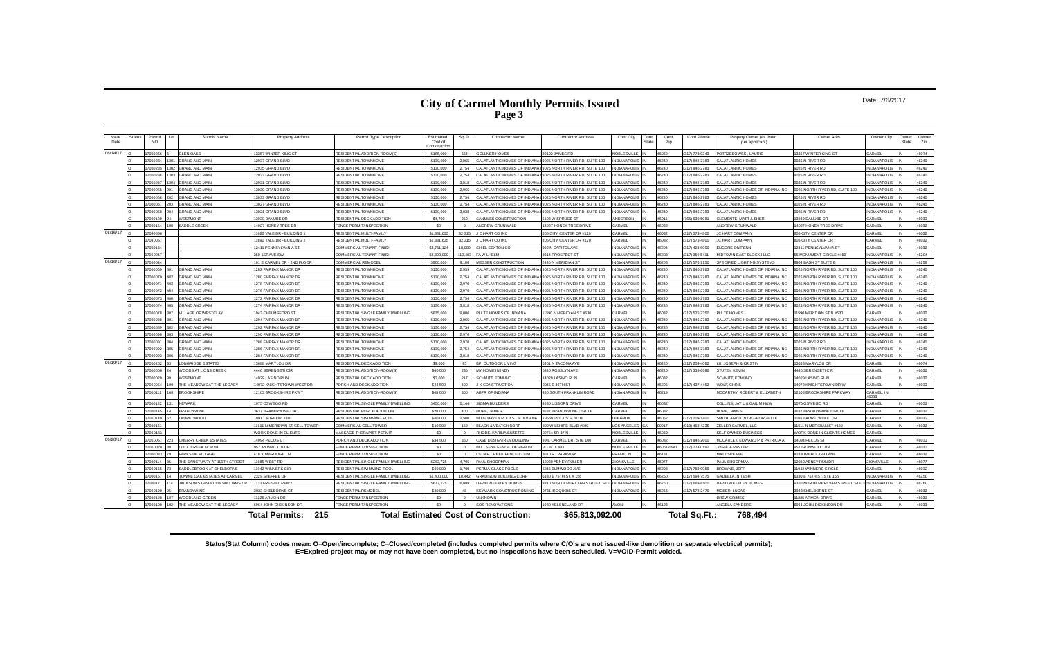#### Date: 7/6/2017

| Issue<br>Date | Status | Permit<br><b>NO</b> | Subdiv Name                           | <b>Property Address</b>       | Permit Type Description            | Estimated<br>Cost of<br>Construction | Sq Ft      | <b>Contractor Name</b>                       | <b>Contractor Address</b>      | Cont.City           | Cont.<br>State | Cont.<br>Zip | Cont.Phone         | Propety Owner (as listed<br>per applicant) | Owner Adrs                     | Owner City          | Owner<br>State | Owner<br>Zip |
|---------------|--------|---------------------|---------------------------------------|-------------------------------|------------------------------------|--------------------------------------|------------|----------------------------------------------|--------------------------------|---------------------|----------------|--------------|--------------------|--------------------------------------------|--------------------------------|---------------------|----------------|--------------|
| 06/14/17      |        | 7050266             | <b>GLEN OAKS</b>                      | 3357 WINTER KING CT           | RESIDENTIAL ADDITION-ROOM(S)       | \$165,000                            | 664        | <b>GOLLNER HOMES</b>                         | 0102 JAMES RD                  | NOBLESVILLE         |                | 46062        | 317) 773-9343      | OTRZEBOWSKI, LAURIE                        | 3357 WINTER KING CT            | CARMEL              |                | 46074        |
|               |        | 7050284             | <b>GRAND AND MAIN</b>                 | 2937 GRAND BLVD               | <b>RESIDENTIAL TOWNHOME</b>        | \$130,000                            | 2.965      | CALATLANTIC HOMES OF INDIANA                 | 9025 NORTH RIVER RD, SUITE 100 | <b>IDIANAPOLIS</b>  |                | 46240        | 317) 846-2783      | <b>ALATLANTIC HOMES</b>                    | 9025 N RIVER RD                | <b>NDIANAPOLIS</b>  |                | 46240        |
|               |        | 7050285             | <b>GRAND AND MAIN</b>                 | 12935 GRAND BLVD              | RESIDENTIAL TOWNHOME               | \$130,000                            | 2.754      | CALATLANTIC HOMES OF INDIANA                 | 9025 NORTH RIVER RD, SUITE 100 | <b>VDIANAPOLIS</b>  |                | 46240        | (317) 846-2783     | CALATLANTIC HOMES                          | 9025 N RIVER RD                | <b>NDIANAPOLIS</b>  |                | 46240        |
|               |        | 7050286             | 03 GRAND AND MAIN                     | 12933 GRAND BLVD              | <b>RESIDENTIAL TOWNHOME</b>        | \$130,000                            | 2.754      | CALATLANTIC HOMES OF INDIANA                 | 025 NORTH RIVER RD, SUITE 100  | <b>JDIANAPOLIS</b>  |                | 46240        | 317) 846-2783      | CALATLANTIC HOMES                          | 9025 N RIVER RD                | <b>NDIANAPOLIS</b>  |                | 46240        |
|               |        | 7050287             | <b>GRAND AND MAIN</b>                 | 12931 GRAND BLVD              | <b>RESIDENTIAL TOWNHOME</b>        | \$130,000                            | 3.018      | CALATLANTIC HOMES OF INDIANA                 | 025 NORTH RIVER RD. SUITE 100  | <b>IDIANAPOLIS</b>  |                | 46240        | (317) 846-2783     | CALATLANTIC HOMES                          | 9025 N RIVER RD                | <b>NDIANAPOLIS</b>  |                | 46240        |
|               |        | 7060055             | <b>GRAND AND MAIN</b>                 | 13039 GRAND BLVD              | RESIDENTIAL TOWNHOME               | \$130,000                            | 2.965      | CALATLANTIC HOMES OF INDIANA                 | 025 NORTH RIVER RD, SUITE 100  | <b>DIANAPOLIS</b>   |                | 46240        | (317) 846-2783     | CALATLANTIC HOMES OF INDIANA INC           | 9025 NORTH RIVER RD, SUITE 100 | <b>NDIANAPOLIS</b>  |                | 46240        |
|               |        | 7060056             | <b>GRAND AND MAIN</b>                 | 13033 GRAND BLVD              | <b>RESIDENTIAL TOWNHOME</b>        | \$130,000                            | 2.754      | ALATI ANTIC HOMES OF INDIAN                  | 1025 NORTH RIVER RD. SUITE 10  | <b>DIANAPOLIS</b>   |                | 46240        | (317) 846-2783     | CALATI ANTIC HOMES                         | 9025 N RIVER RD                | <b>NDIANAPOLIS</b>  |                | 46240        |
|               |        | 7060057             | <b>GRAND AND MAIN</b>                 | 13027 GRAND BLVD              | <b>RESIDENTIAL TOWNHOME</b>        | \$130,000                            | 2.754      | CALATLANTIC HOMES OF INDIANA                 | 9025 NORTH RIVER RD, SUITE 100 | <b>IDIANAPOLIS</b>  |                | 46240        | (317) 846-2783     | CALATLANTIC HOMES                          | 9025 N RIVER RD                | <b>NDIANAPOLIS</b>  |                | 46240        |
|               |        | 7060058             | <b>GRAND AND MAIN</b>                 | 13021 GRAND BLVD              | RESIDENTIAL TOWNHOME               | \$130,000                            | 3,038      | CALATLANTIC HOMES OF INDIANA                 | 9025 NORTH RIVER RD, SUITE 100 | <b>VDIANAPOLIS</b>  |                | 46240        | (317) 846-2783     | CALATLANTIC HOMES                          | 9025 N RIVER RD                | NDIANAPOLIS         |                | 46240        |
|               |        | 7060120             | <b>/ESTMONT</b>                       | 3939 DANUBE DR                | RESIDENTIAL DECK ADDITION          | \$4,700                              | 252        | SANMLES CONSTRUCTION                         | 108 W SPRUCE ST                | NDERSON             |                | 46011        | 765) 639-5981      | CLEMENTE, MATT & SHERI                     | 3939 DANUBE DR                 | ARME                |                | 46033        |
|               |        | 7060154             | <b>SADDLE CREEK</b>                   | 4027 HONEY TREE DR            | FENCE PERMIT/INSPECTION            | \$0                                  |            | ANDREW GRUNWALD                              | 4027 HONEY TREE DRIVE          | <b>ARMEL</b>        |                | 46032        |                    | ANDREW GRUNWALD                            | 14027 HONEY TREE DRIVE         | ARME                |                | 46032        |
| 06/15/17      |        | 17040056            |                                       | 11680 YALE DR - BUILDING 1    | RESIDENTIAL MULTI-FAMILY           | \$1,881,635                          | 32,315     | <b>IC HART CO INC</b>                        | 805 CITY CENTER DR #120        | CARMEL              |                | 46032        | $(317) 573 - 4800$ | IC HART COMPANY                            | 305 CITY CENTER DR             | CARMEL              |                | 46032        |
|               |        | 7040057             |                                       | 1690 YALE DR - BUILDING 2     | RESIDENTIAL MULTI-FAMILY           | \$1,881,635                          | 32,315     | J C HART CO INC                              | 805 CITY CENTER DR #120        | CARMEL              |                | 46032        | (317) 573-4800     | <b>IC HART COMPANY</b>                     | <b>305 CITY CENTER DR</b>      | CARMEL              |                | 46032        |
|               |        | 7050134             |                                       | 12411 PENNSYLVANIA ST.        | COMMERCIAL TENANT FINISH           | \$3,761,124                          | 18,000     | SHIEL SEXTON CO                              | 902 N CAPITOL AVE              | NDIANAPOLIS         |                | 16204        | 317) 423-6000      | NCORE ON PENN                              | 12411 PENNSYI VANIA ST         | CARMEL              |                | <b>CENAM</b> |
|               |        | 7060047             |                                       | 350 1ST AVE SW                | COMMERCIAL TENANT FINISH           | \$4,300,000                          | 110.403    | FA WILHELM                                   | 3914 PROSPECT ST               | NDIANAPOLIS         |                | 46203        | 317) 359-5411      | <b><i>IIDTOWN EAST BLOCK I LLC</i></b>     | 5 MONUMENT CIRCLE #450         | NDIANAPOLIS         |                | 46204        |
| 06/16/17      |        | 7060044             |                                       | 101 E CARMEL DR - 2ND FLOOR   | COMMERCIAL REMODEL                 | \$900,000                            | 9.100      | <b>MESSER CONSTRUCTION</b>                   | 2445 N MERIDIAN ST             | <b>INDIANAPOLIS</b> |                | 46208        | (317) 576-9250     | SPECIFIED LIGHTING SYSTEMS                 | <b>8904 BASH ST SUITE B</b>    | <b>NDIANAPOLIS</b>  |                | 46256        |
|               |        | 7060069             | <b>GRAND AND MAIN</b>                 | 1282 FAIRFAX MANOR DR         | RESIDENTIAL TOWNHOME               | \$130,000                            | 2.959      | CALATLANTIC HOMES OF INDIANA                 | 9025 NORTH RIVER RD, SUITE 100 | <b>NDIANAPOLIS</b>  |                | 46240        | (317) 846-2783     | CALATLANTIC HOMES OF INDIANA INC           | 025 NORTH RIVER RD, SUITE 100  | NDIANAPOLIS         |                | 46240        |
|               |        | 7060070             | <b>GRAND AND MAIN</b>                 | 280 FAIRFAX MANOR DE          | RESIDENTIAL TOWNHOME               | \$130,000                            | 2754       | ALATI ANTIC HOMES OF INDIANA                 | 1025 NORTH RIVER RD SUITE 10   | DIANAPOLIS          |                | 46240        | 317) 846-2783      | CALATLANTIC HOMES OF INDIANA INC           | 025 NORTH RIVER RD SUITE 100   | <b>NDIANAPOLIS</b>  |                | 46240        |
|               |        | 706007              | <b>GRAND AND MAIN</b>                 | 278 FAIRFAX MANOR DE          | RESIDENTIAL TOWNHOME               | \$130,000                            | 2.970      | ALATLANTIC HOMES OF INDIANA                  | 025 NORTH RIVER RD. SUITE 100  | <b>DIANAPOLIS</b>   |                | 16240        | 317) 846-2783      | CALATLANTIC HOMES OF INDIANA INC           | 025 NORTH RIVER RD. SUITE 100  | NDIANAPOLIS         |                | 46240        |
|               |        | 7060072             | <b>GRAND AND MAIN</b>                 | 1276 FAIRFAX MANOR DE         | RESIDENTIAL TOWNHOME               | \$130,000                            | 2.970      | ALATI ANTIC HOMES OF INDIANA                 | 9025 NORTH RIVER RD SUITE 100  | DIANAPOLIS          |                | 46240        | (317) 846-2783     | ALATI ANTIC HOMES OF INDIANA INC.          | 025 NORTH RIVER RD SUITE 100   | NDIANAPOLIS         |                | 46240        |
|               |        | 7060073             | <b>RAND AND MAIN</b>                  | <b>272 FAIRFAX MANOR DR</b>   | <b>RESIDENTIAL TOWNHOME</b>        | \$130,000                            | 2.754      | CALATLANTIC HOMES OF INDIAN                  | 025 NORTH RIVER RD, SUITE 100  | <b>DIANAPOLIS</b>   |                | 46240        | 317) 846-2783      | ALATLANTIC HOMES OF INDIANA INC            | 025 NORTH RIVER RD, SUITE 100  | <b>NDIANAPOLIS</b>  |                | 46240        |
|               |        | 7060074             | <b>GRAND AND MAIN</b>                 | 1274 FAIRFAX MANOR DE         | <b>RESIDENTIAL TOWNHOME</b>        | \$130,000                            | 3,018      | CALATI ANTIC HOMES OF INDIANA                | 9025 NORTH RIVER RD. SUITE 100 | <b>NDIANAPOLIS</b>  |                | 46240        | 317) 846-2783      | CALATI ANTIC HOMES OF INDIANA INC          | 025 NORTH RIVER RD. SUITE 100  | <b>NDIANAPOLIS</b>  |                | 46240        |
|               |        | 7060078             | <b>ILLAGE OF WESTCLAY</b>             | 1943 CHELMSFORD ST            | RESIDENTIAL SINGLE FAMILY DWELLING | \$835,000                            | 9.006      | PULTE HOMES OF INDIANA                       | 1590 N MERIDIAN ST #530        | ARMEL               |                | 16032        | 317) 575-2350      | <b>ULTE HOMES</b>                          | 1590 MERIDIAN ST N #530        | CARMEL              |                | 46032        |
|               |        | 7060088             | GRAND AND MAIN                        | 1294 FAIRFAX MANOR DR         | <b>RESIDENTIAL TOWNHOME</b>        | \$130,000                            | 2.965      | CALATLANTIC HOMES OF INDIANA                 | 9025 NORTH RIVER RD, SUITE 100 | NDIANAPOLIS         |                | 46240        | (317) 846-2783     | CALATLANTIC HOMES OF INDIANA INC           | 9025 NORTH RIVER RD, SUITE 100 | <b>NDIANAPOLIS</b>  |                | 46240        |
|               |        | 7060089             | <b>GRAND AND MAIN</b>                 | 1292 FAIRFAX MANOR DR         | RESIDENTIAL TOWNHOME               | \$130,000                            | 2,754      | ALATI ANTIC HOMES OF INDIAN                  | 1025 NORTH RIVER RD SUITE 100  | <b>IDIANAPOLIS</b>  |                | 46240        | (317) 846-2783     | ALATI ANTIC HOMES OF INDIANA INC           | 025 NORTH RIVER RD SUITE 100   | NDIANAPOLIS         |                | 46240        |
|               |        | 7060090             | <b>GRAND AND MAIN</b>                 | 1290 FAIRFAX MANOR DR         | <b>RESIDENTIAL TOWNHOME</b>        | \$130,000                            | 2.970      | CALATLANTIC HOMES OF INDIANA                 | 025 NORTH RIVER RD, SUITE 100  | <b>IDIANAPOLIS</b>  |                | 46240        | (317) 846-2783     | CALATLANTIC HOMES OF INDIANA INC           | 025 NORTH RIVER RD, SUITE 100  | <b>NDIANAPOLIS</b>  |                | 46240        |
|               |        | 7060091             | <b>GRAND AND MAIN</b>                 | <b>288 FAIRFAX MANOR DR</b>   | RESIDENTIAL TOWNHOME               | \$130,000                            | 2.970      | CALATLANTIC HOMES OF INDIANA                 | 025 NORTH RIVER RD, SUITE 100  | <b>DIANAPOLIS</b>   |                | 46240        | (317) 846-2783     | CALATLANTIC HOMES                          | 9025 N RIVER RD                | <b>NDIANAPOLIS</b>  |                | 46240        |
|               |        | 7060092             | <b>GRAND AND MAIN</b>                 | 1286 FAIRFAX MANOR DE         | RESIDENTIAL TOWNHOME               | \$130,000                            | 2.754      | CALATI ANTIC HOMES OF INDIANA                | 9025 NORTH RIVER RD. SUITE 100 | <b>JDIANAPOLIS</b>  |                | 46240        | (317) 846-2783     | CALATI ANTIC HOMES OF INDIANA INC          | 3025 NORTH RIVER RD. SUITE 100 | NDIANAPOLIS         |                | 46240        |
|               |        | 7060093             | <b>GRAND AND MAIN</b>                 | 1284 FAIRFAX MANOR DR         | RESIDENTIAL TOWNHOME               | \$130,000                            | 3.018      | CALATLANTIC HOMES OF INDIANA                 | 9025 NORTH RIVER RD, SUITE 100 | NDIANAPOLIS         |                | 46240        | (317) 846-2783     | CALATLANTIC HOMES OF INDIANA INC           | 025 NORTH RIVER RD, SUITE 100  | <b>NDIANAPOLIS</b>  |                | 46240        |
| 06/19/17      |        | 7050262             | <b>ONGRIDGE ESTATES</b>               | 13688 MARYLOU DR              | RESIDENTIAL DECK ADDITION          | \$9,000                              | 95         | BPI OUTDOOR LIVING                           | 351 N TACOMA AVE               | NDIANAPOLIS         |                | 46220        | (317) 259-4062     | U, JOSEPH & KRISTIN                        | 3688 MARYLOU DR                | CARMEL              |                | 46074        |
|               |        | 7060006             | <b>VOODS AT LIONS CREEK</b>           | <b>4446 SERENGETI CIR</b>     | RESIDENTIAL ADDITION-ROOM(S)       | \$40,000                             | 235        | MY HOME IN INDY                              | 440 ROSSLYN AVE                | NDIANAPOLIS         |                | 46220        | 317) 339-6096      | <b>STUTEY, KEVIN</b>                       | <b>4446 SERENGETI CIR</b>      | CARMEL              |                | 46032        |
|               |        | 7060029             | <b>VESTMONT</b>                       | 4029 LASINO RUN               | RESIDENTIAL DECK ADDITION          | \$3,000                              | 217        | SCHMITT, EDMUND                              | 4029 LASINO RUN                | CARMEL              |                | 16032        |                    | <b>SCHMITT, EDMUND</b>                     | 14029 LASINO RUN               | CARMEL              |                | 46032        |
|               |        | 7060054             | <b>HE MEADOWS AT THE LEGACY</b>       | 14072 KNIGHTSTOWN WEST DR     | PORCH AND DECK ADDITION            | \$24,500                             | 400        | <b>K CONSTRUCTION</b>                        | 2045 E 46TH ST                 | <b>INDIANAPOLIS</b> |                | 46205        | $(317)$ 437-4452   | WOLE CHRIS                                 | 14072 KNIGHTSTOWN DR W         | CARMEL              |                | 46033        |
|               |        | 7060111             | <b>BROOKSHIRE</b>                     | 12103 BROOKSHIRE PKWY         | RESIDENTIAL ADDITION-ROOM(S)       | \$45,000                             | 300        | ABPR OF INDIANA                              | <b>450 SOUTH FRANKLIN ROAD</b> | <b>INDIANAPOLIS</b> |                | 46219        |                    | MCCARTHY, ROBERT & ELIZABETH               | 12103 BROOKSHIRE PARKWAY       | CARMEL. IN<br>16033 |                |              |
|               |        | 17060122            | <b>NFWARK</b>                         | 1075 OSWEGO RD                | RESIDENTIAL SINGLE FAMILY DWELLING | \$450,000                            | 5.144      | SIGMA BUILDERS                               | 4630 LISRORN DRIVE             | CARMEL              |                | 46032        |                    | COLLINS. JAY L & GAIL M H&W                | 1075 OSWEGO RD                 | <b>CARMEL</b>       |                | 46032        |
|               |        | 17060145            | <b>BRANDYWINE</b>                     | 3637 BRANDYWINE CIR           | RESIDENTIAL PORCH ADDITION         | \$20,000                             | 400        | HOPE, JAMES                                  | 3637 BRANDYWINE CIRCLE         | CARMEL              |                | 46032        |                    | HOPE, JAMES                                | 3637 BRANDYWINE CIRCLE         | CARMEL              |                | 46032        |
|               |        | 7060149             | AURELWOOD                             | 1091 LAURELWOOD               | RESIDENTIAL SWIMMING POOL          | \$80,000                             | 2.500      | BLUE HAVEN POOLS OF INDIANA                  | 795 WEST 375 SOUTH             | LEBANON             |                | 46052        | 317) 209-1400      | SMITH, ANTHONY & GEORGETTE                 | 1091 LAURELWOOD DR             | CARMEL              |                | 46032        |
|               |        | 7060161             |                                       | 1611 N MERIDIAN ST CELL TOWER | COMMERCIAL CELL TOWER              | \$10,000                             | 150        | <b>BLACK &amp; VEATCH CORP</b>               | <b>800 WILSHIRE BLVD #600</b>  | OS ANGELES          |                | 90017        | 913) 458-4235      | ZELLER CARMEL, LLC                         | 1611 N MERIDIAN ST #120        | CARMEL              |                | 46032        |
|               |        | 7060183             |                                       | WORK DONE IN CLIENTS          | MASSAGE THERAPIST PERMIT           | \$0                                  |            | <b>RHODE, KARINA SUZETTI</b>                 | 2754 SR 37 N                   | NOBLESVILLE         |                | 46060        |                    | SELE OWNED BUSINESS                        | VORK DONE IN CLIENTS HOMES     | CARME               |                |              |
| 06/20/17      |        | 7050057             | CHERRY CREEK ESTATES                  | 14094 PECOS CT                | PORCH AND DECK ADDITION            | \$34,500                             | 360        | CASE DESIGN/REMODELING                       | 99 E CARMEL DR., STE 100       | CARMEL              |                | 46032        | 317) 846-2600      | <b>MCCAULEY, EDWARD P &amp; PATRICIAA</b>  | 14094 PECOS ST                 | CARMEL              |                | 46033        |
|               |        | 7060020             | COOL CREEK NORTH                      | 957 IRONWOOD DE               | FENCE PERMIT/INSPECTION            | \$0                                  | $\sqrt{ }$ | BULLSEYE FENCE DESIGN INC                    | PO BOX 941                     | <b>NOBLESVILLE</b>  |                | 46061-0941   | 317) 774-0197      | <b>IOSHUA PANTER</b>                       | <b>957 IRONWOOD DE</b>         | CARMEL              |                | 46033        |
|               |        | 7060033             | ARKSIDE VILLAGE                       | <b>418 KIMBROUGH LN</b>       | FENCE PERMIT/INSPECTION            | \$0                                  | $\sqrt{ }$ | CEDAR CREEK FENCE CO INC                     | <b>8010 RJ PARKWAY</b>         | <b>RANKLIN</b>      |                | 46131        |                    | <b>MATT SPEAKE</b>                         | <b>418 KIMBROUGH LANE</b>      | <b>ARMEL</b>        |                | 46032        |
|               |        | 7060114             | HE SANCTUARY AT 116TH STREET          | 11685 WEST RD                 | RESIDENTIAL SINGLE FAMILY DWELLING | \$263,725                            | 4.795      | PAUL SHOOPMAN                                | 12080 ABNEY RUN DR             | <b>ZIONSVILLE</b>   |                | 46077        |                    | PAUL SHOOPMAN                              | 12080 ABNEY RUN DR             | <b>ZIONSVILLE</b>   |                | 46077        |
|               |        | 7060155             | <b>ADDLEBROOK AT SHELBORNE</b>        | 1942 WINNERS CIR              | <b>RESIDENTIAL SWIMMING POOI</b>   | \$60,000                             | 1.700      | <b>ERMA-GLASS POOLS</b>                      | 5245 ELMWOOD AVE               | <b>INDIANAPOLIS</b> |                | 46203        | (317) 782-9956     | ROWNE, JEFF                                | 11942 WINNERS CIRCLE           | CARMEL              |                | 46032        |
|               |        | 7060157             | OWNE OAK ESTATES AT CARMEL            | 2329 STEFFEE DR               | RESIDENTIAL SINGLE FAMILY DWELLING | \$1,400,000                          | 10,442     | <b>GRADISON BUILDING CORP</b>                | 330 E 75TH ST, # 156           | NDIANAPOLIS         |                | 46250        | (317) 594-7575     | <b>GADEELA, NITESH</b>                     | 3330 E 75TH ST, STE 156        | NDIANAPOLIS         |                | 46250        |
|               |        | 7060171             | <b>IACKSON'S GRANT ON WILLIAMS CR</b> | 133 FRENZEL PKWY              | RESIDENTIAL SINGLE FAMILY DWELLING | \$677.125                            | 6.099      | DAVID WEEKLEY HOMES                          | 310 NORTH MERIDIAN STREET, STE | NDIANAPOLIS         |                | 16260        | 317) 669-8500      | <b>AVID WEEKLEY HOMES</b>                  | 310 NORTH MERIDIAN STREET, STE | <b>INDIANAPOLIS</b> |                | 46260        |
|               |        | 7060190             | RANDYWINE                             | 3933 SHELBORNE CT             | <b>RESIDENTIAL REMODEL</b>         | \$20,000                             | 48         | KEYMARK CONSTRUCTION INC                     | 9731 IROQUOIS CT               | <b>INDIANAPOLIS</b> |                | 16256        | 317) 578-2479      | <b>MOSER, LUCAS</b>                        | 3933 SHELBORNE CT              | CARMEL              |                | 46032        |
|               |        | 7060198             | <b>/OODLAND GREEN</b>                 | 11225 ARMON DR                | FENCE PERMIT/INSPECTION            | \$0                                  |            | <b>UNKNOWN</b>                               |                                |                     |                |              |                    | DREW GRIMES                                | 11225 ARMON DRIVE              | CARMEL              |                | 46033        |
|               |        | 7060199             | THE MEADOWS AT THE LEGACY             | <b>6964 JOHN DICKINSON DR</b> | FENCE PERMIT/INSPECTION            | \$0                                  |            | <b>SOS RENOVATIONS</b>                       | 080 KELSNELAND DR              | AVON                |                | 46123        |                    | ANGELA SANDERS                             | <b>5964 JOHN DICKINSON DR</b>  | CARMEL              |                | 46033        |
|               |        |                     |                                       | <b>Total Permits: 215</b>     |                                    |                                      |            | <b>Total Estimated Cost of Construction:</b> | \$65,813,092.00                |                     |                |              | Total Sq.Ft.:      | 768.494                                    |                                |                     |                |              |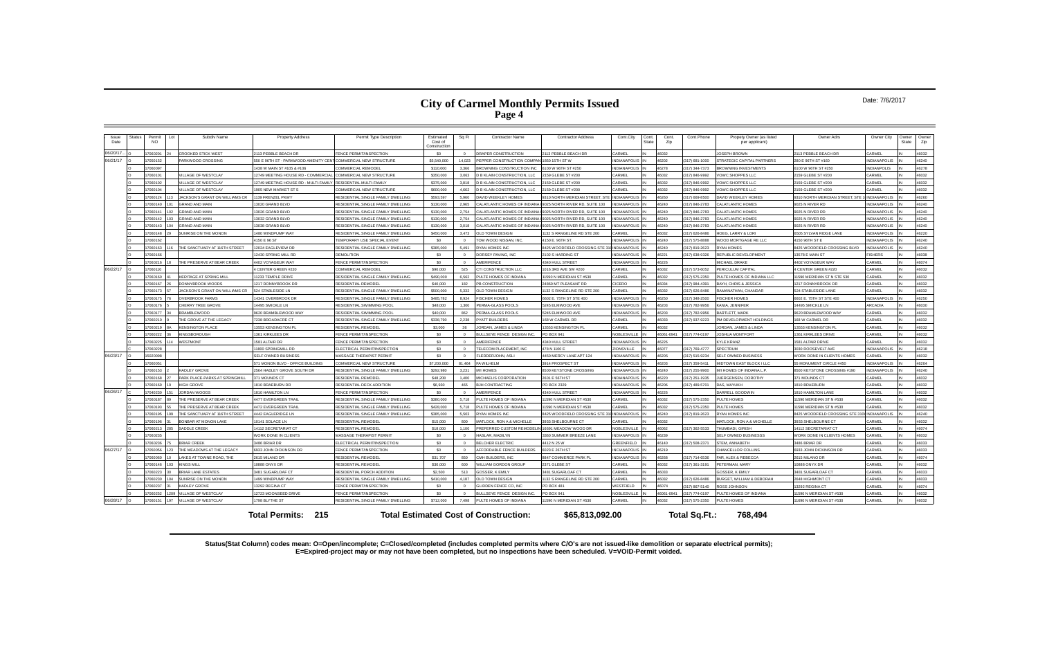#### Date: 7/6/2017

| Issue<br>Date | Status | Permit<br><b>NO</b> | Subdiv Name                          | <b>Property Address</b>                                        | Permit Type Description                   | Estimated<br>Cost of<br>Construction | Sq Ft          | <b>Contractor Name</b>                                             | <b>Contractor Address</b>                 | Cont.City                          | Cont.<br>State | Cont.<br>Cont.Phone<br>Zip | Propety Owner (as listed<br>per applicant)               | Owner Adrs                                | Owner City          | Owner<br>State | Owner<br>Zip   |
|---------------|--------|---------------------|--------------------------------------|----------------------------------------------------------------|-------------------------------------------|--------------------------------------|----------------|--------------------------------------------------------------------|-------------------------------------------|------------------------------------|----------------|----------------------------|----------------------------------------------------------|-------------------------------------------|---------------------|----------------|----------------|
| 06/20/17      |        | 7060201             | ROOKED STICK WEST                    | 113 PEBBLE BEACH DR                                            | FENCE PERMIT/INSPECTION                   | SO.                                  | $\Omega$       | DRAPER CONSTRUCTION                                                | 113 PEBBLE BEACH DR                       | CARMEL                             | 46032          |                            | OSEPH BROWN                                              | 113 PEBBLE BEACH DR                       | CARMEL              |                | 46032          |
| 06/21/17      |        | 7050152             | ARKWOOD CROSSING                     | 550 E 96TH ST - PARKWOOD AMENITY CENT                          | COMMERCIAL NEW STRUCTURE                  | \$5,540,000                          | 14,023         | PEPPER CONSTRUCTION COMPA                                          | 1850 15TH ST W                            | <b>INDIANAPOLIS</b>                | 46202          | 317) 681-1000              | <b>STRATEGIC CAPITAL PARTNERS</b>                        | 280 E 96TH ST #160                        | NDIANAPOLIS         |                | 46240          |
|               |        | 7060097             |                                      | 1438 W MAIN ST #105 & #106                                     | COMMERCIAL REMODEL                        | \$110,000                            | 3.366          | <b>BROWNING CONSTRUCTION INC</b>                                   | 6100 W 96TH ST #250                       | <b>INDIANAPOLIS</b>                | 46278          | 317) 344-7373              | ROWNING INVESTMENTS                                      | 100 W 96TH ST #250                        | NDIANPOLIS          |                | 46278          |
|               |        | 7060101             | <b>ILLAGE OF WESTCLAY</b>            | 12749 MEETING HOUSE RD - COMMERCIAL                            | COMMERCIAL NEW STRUCTURE                  | \$350,000                            | 3.063          | <b>D B KLAIN CONSTRUCTION. LLC</b>                                 | 2159 GLEBE ST #200                        | CARMEL                             | 46032          | 317) 846-9992              | OWC SHOPPES LLC                                          | 159 GLEBE ST #200                         | CARMEL              |                | 46032          |
|               |        | 7060102             | <b>ILLAGE OF WESTCLAY</b>            | 12749 MEETING HOUSE RD - MULTI-FAMILY RESIDENTIAL MULTI-FAMILY |                                           | \$375,000                            | 3.818          | <b>D B KLAIN CONSTRUCTION, LLC</b>                                 | 2159 GLEBE ST #200                        | CARMEL                             | 46032          | 317) 846-9992              | <b>VOWC SHOPPES LLC</b>                                  | 159 GLEBE ST #200                         | CARMEL              |                | 46032          |
|               |        | 7060104             | ILLAGE OF WESTCLAY                   | 1905 NEW MARKET ST S                                           | OMMERCIAL NEW STRUCTURE                   | \$600,000                            | 4.662          | D B KLAIN CONSTRUCTION, LLC                                        | 159 GLEBE ST #200                         | CARMEL                             | 46032          | 317) 846-9992              | OWC SHOPPES LLC                                          | 159 GLEBE ST #200                         | <b>ARMFI</b>        |                | 46032          |
|               |        | 7060124             | ACKSON'S GRANT ON WILLIAMS CR        | 1139 FRENZEL PKWY                                              | RESIDENTIAL SINGLE FAMILY DWELLING        | \$593,597                            | 5.960          | <b>DAVID WEEKLEY HOMES</b>                                         | 310 NORTH MERIDIAN STREET. ST             | <b>INDIANAPOLIS</b>                | 46260          | 317) 669-8500              | AVID WEEKLEY HOMES                                       | 310 NORTH MERIDIAN STREET, STE            | <b>INDIANAPOLIS</b> |                | 46260          |
|               |        | 7060140             | <b>GRAND AND MAIN</b>                | 3020 GRAND BLVD                                                | RESIDENTIAL SINGLE FAMILY DWELLING        | \$130,000                            | 2.965          | CALATLANTIC HOMES OF INDIANA                                       | 9025 NORTH RIVER RD, SUITE 100            | <b>INDIANAPOLIS</b>                | 46240          | 317) 846-2783              | ALATLANTIC HOMES                                         | 025 N RIVER RD                            | <b>NDIANAPOLIS</b>  |                | 46240          |
|               |        | 7060141             | <b>RAND AND MAIN</b>                 | 3026 GRAND BLVD                                                | RESIDENTIAL SINGLE FAMILY DWELLING        | \$130,000                            | 2.754          | CALATLANTIC HOMES OF INDIANA                                       | 9025 NORTH RIVER RD, SUITE 100            | NDIANAPOLIS                        | 46240          | 317) 846-2783              | ALATLANTIC HOMES                                         | 025 N RIVER RD                            | <b>NDIANAPOLIS</b>  |                | 46240          |
|               |        | 7060142             | RAND AND MAIN                        | 3032 GRAND BLVD                                                | RESIDENTIAL SINGLE FAMILY DWELLING        | \$130,000                            | 2,754          | CALATLANTIC HOMES OF INDIAN                                        | 025 NORTH RIVER RD, SUITE 100             | NDIANAPOLIS                        | 46240          | 317) 846-2783              | ALATLANTIC HOMES                                         | 9025 N RIVER RD                           | NDIANAPOLIS         |                | 46240          |
|               |        | 2060143             | <b>RAND AND MAIN</b>                 | 13038 GRAND BLVD                                               | RESIDENTIAL SINGLE FAMILY DWELLING        | \$130,000                            | 3.018          | CALATLANTIC HOMES OF INDIANA                                       | 9025 NORTH RIVER RD, SUITE 100            | NDIANAPOLIS                        | 46240          | 317) 846-2783              | ALATI ANTIC HOMES                                        | 9025 N RIVER RD                           | NDIANAPOLIS         |                | 46240          |
|               |        | 7060148             | UNRISE ON THE MONON                  | 480 WINDPUMP WAY                                               | ESIDENTIAL SINGLE FAMILY DWELLING         | \$450,000                            | 3.473          | OLD TOWN DESIGN                                                    | 132 S RANGELINE RD STE 200                | ARMEL                              | 46032          | 317) 626-8486              | <b>OEG. LARRY &amp; LORI</b>                             | <b>6505 SYLVAN RIDGE LANE</b>             | <b>NDIANAPOLIS</b>  |                | 46220          |
|               |        | 7060162             |                                      | 4150 E 96 ST                                                   | <b>EMPORARY USE SPECIAL EVENT</b>         | \$0                                  | $\Omega$       | TOM WOOD NISSAN, INC.                                              | 150 E. 96TH ST.                           | <b>INDIANAPOLIS</b>                | 46240          | 317) 575-8888              | VOOD MORTGAGE RE LLC                                     | 150 96TH ST B                             | <b>NDIANAPOLIS</b>  |                | 46240          |
|               |        | 7060163             | HE SANCTUARY AT 116TH STREET         | 2024 EAGLEVIEW DR                                              | RESIDENTIAL SINGLE FAMILY DWELLING        | \$385,000                            | 5.491          | <b>RYAN HOMES INC</b>                                              | 3425 WOODFIELD CROSSING STE               | <b>INDIANAPOLIS</b>                | 46240          | 317) 819-2623              | YAN HOMES                                                | 425 WOODFIELD CROSSING BLVD               | NDIANAPOLIS         |                | 46240          |
|               |        | 7060166             |                                      | 2430 SPRING MILL RD                                            | DEMOLITION                                | - \$0                                | $\sqrt{ }$     | DORSEY PAVING, INC                                                 | 2102 S HARDING ST                         | <b>INDIANAPOLIS</b>                | 46221          | 317) 638-9326              | REPUBLIC DEVELOPMENT                                     | 13578 E MAIN ST                           | FISHERS             |                | 46038          |
|               |        | 7060216             | HE PRESERVE AT BEAR CREEK            | 4402 VOYAGEUR WAY                                              | FENCE PERMIT/INSPECTION                   | \$0                                  | $\overline{0}$ | AMERIFENCE                                                         | 1340 HULL STREET                          | INDIANAPOLIS IN                    | 46226          |                            | MICHAEL DRAKE                                            | 4402 VOYAGEUR WAY                         | CARMEL              |                | 46074          |
| 06/22/17      |        | 7060110             |                                      | CENTER GREEN #220                                              | COMMERCIAL REMODEL                        | \$90,000                             | 525            | CTI CONSTRUCTION LLC                                               | 016 3RD AVE SW #200                       | CARMEL                             | 46032          | 317) 573-6052              | <b>ERICULUM CAPITAL</b>                                  | CENTER GREEN #220                         | CARMEL              |                | 46032          |
|               |        | 7060160             | <b>IERITAGE AT SPRING MILL</b>       | 1233 TEMPLE DRIVE                                              | RESIDENTIAL SINGLE FAMILY DWELLING        | \$490,000                            | 6.562          | PULTE HOMES OF INDIANA                                             | 1590 N MERIDIAN ST #530                   | CARMEL                             | 46032          | 317) 575-2350              | ULTE HOMES OF INDIANA LLC                                | 1590 MERIDIAN ST N STE 530                | CARME               |                | 46032          |
|               |        | 7060167             | <b>ONNYBROOK WOODS</b>               | 1217 DONNYBROOK DR                                             | RESIDENTIAL REMODEL                       | \$40,000                             | 182            | PB CONSTRUCTION                                                    | 24860 MT PLEASANT RD                      | CICERO                             | 46034          | 317) 984-4391              | <b>BAYH, CHRIS &amp; JESSICA</b>                         | 217 DONNYBROOK DR                         | CARMEL              |                | 46032          |
|               |        | 7060173             | <b>ACKSON'S GRANT ON WILLIAMS CR</b> | 524 STABLESIDE LN                                              | RESIDENTIAL SINGLE FAMILY DWELLING        | \$500,000                            | 5.332          | OLD TOWN DESIGN                                                    | 132 S RANGELINE RD STE 200                | CARMEL                             | 46032          | 317) 626-8486              | AMANATHAN, CHANDAR                                       | 524 STABLESIDE LANE                       | CARMEL              |                | 46032          |
|               |        | 7060175             | <b>VERRROOK FARMS</b>                | 14341 OVERBROOK DR                                             | RESIDENTIAL SINGLE FAMILY DWELLING        | \$485,782                            | 8.924          | <b>FISCHER HOMES</b>                                               | 602 E. 75TH ST STE 400                    | INDIANAPOLIS                       | 46250          | 317) 348-2500              | <b>ISCHER HOMES</b>                                      | 6602 E. 75TH ST STE 400                   | NDIANAPOLIS         |                | 46250          |
|               |        | 7060176             | <b>HERRY TREE GROVE</b>              | 4495 SMICKLE LN                                                | RESIDENTIAL SWIMMING POO                  | \$48,000                             | 1.300          | PERMA-GLASS POOLS                                                  | 5245 ELMWOOD AVE                          | <b>INDIANAPOLIS</b>                | 46203          | 317) 782-9956              | ANIA JENNIFFF                                            | 4495 SMICKLE LN                           | ARCADIA             |                | 46030          |
|               |        | 7060177             | <b>RAMBI FWOOD</b>                   | 9620 BRAMBLEWOOD WAY                                           | RESIDENTIAL SWIMMING POO                  | \$40,000                             | 862            | PERMA-GLASS POOLS                                                  | 5245 ELMWOOD AVE                          | <b>INDIANAPOLIS</b>                | 46203          | 317) 782-9956              | <b>BARTLETT, MARK</b>                                    | 9620 BRAMLEWOOD WAY                       | CARMEL              |                | 46032          |
|               |        | 7060210             | HE GROVE AT THE LEGACY               | 7238 BROADACRE CT                                              | RESIDENTIAL SINGLE FAMILY DWELLING        | \$338,790                            | 2.238          | PYATT BUILDERS                                                     | 168 W CARMEL DR                           | CARMEL                             | 46033          | 317) 937-9223              | M DEVELOPMENT HOLDINGS                                   | 68 W CARMEL DR                            | CARMEL              |                | 46032          |
|               |        | 7060219             | <b>ENSINGTON PLACE</b>               | 3553 KENSINGTON PL                                             | RESIDENTIAI REMODEI                       | \$3,000                              | 36             | JORDAN, JAMES & LINDA                                              | 3553 KENSINGTON PI                        | CARMEL                             | 46032          |                            | ORDAN, JAMES & LINDA                                     | 3553 KENSINGTON P                         | CARMEL              |                | 46032          |
|               |        | 7060222             | <b>INGSBOROUGH</b>                   | 1361 KIRKI FFS DR                                              | FENCE PERMIT/INSPECTION                   | \$0                                  | $\Omega$       | BULLSEYE FENCE DESIGN INC.                                         | PO BOX 941                                | NOBLESVILLE                        | 46061-094      | 317) 774-0197              | <b>IOSHUA MONTFORT</b>                                   | 1361 KIRKI FFS DRIVI                      | CARMEL              |                | 46032          |
|               |        | 7060225             | VESTMONT                             | 1581 AI TAIR DR                                                | FENCE PERMIT/INSPECTION                   | \$0                                  | $\sqrt{2}$     | <b>AMERIEENCE</b>                                                  | <b>1340 HULL STREET</b>                   | <b>INDIANAPOLIS</b>                | 46226          |                            | <b>IYI E KRANZ</b>                                       | 1581 AI TAIR DRIVE                        | <b>CARMEL</b>       |                | 46032          |
|               |        | 7060228             |                                      | 1800 SPRINGMILL RD                                             | <b>ELECTRICAL PERMIT/INSPECTION</b>       | \$0                                  | $\Omega$       | TELECOM PLACEMENT, INC                                             | 478 N 1100 E                              | <b>ZIONSVILLE</b>                  | 46077          | 317) 769-4777              | PECTRUM                                                  | <b>8030 ROOSEVELT AVE</b>                 | <b>NDIANAPOLIS</b>  |                | 46218          |
| 06/23/17      |        | 5020098             |                                      | SELF OWNED BUSINESS                                            | <b>MASSAGE THERAPIST PERMIT</b>           | \$0                                  | $\Omega$       | FLEDDERJOHN, ASLI                                                  | 1450 MERCY LANE APT 124                   | <b>INDIANAPOLIS</b>                | 46205          | 317) 515-9234              | SELF OWNED BUSINESS                                      | VORK DONE IN CLIENTS HOMES                | CARMEL              |                | 46032          |
|               |        | 7060051             |                                      | 71 MONON BLVD - OFFICE BUILDING                                | COMMERCIAL NEW STRUCTURE                  | \$7,200,000                          | 81.464         | FA WILHELM                                                         | 3914 PROSPECT ST                          | NDIANAPOLIS                        | 46203          | 317) 359-5411              | <b>IIDTOWN EAST BLOCK I LLC</b>                          | 5 MONUMENT CIRCLE #450                    | NDIANAPOLIS         |                | 46204          |
|               |        | 7060153             | <b>JADI EY GROVE</b>                 | 2564 HADLEY GROVE SOUTH DR                                     | RESIDENTIAL SINGLE FAMILY DWELLING        | \$292,980                            | 3.231          | M/I HOMES                                                          | 8500 KEYSTONE CROSSING                    | <b>INDIANAPOLIS</b>                | 46240          | 317) 255-9900              | <b>MI HOMES OF INDIANA L.P.</b>                          | 8500 KEYSTONE CROSSING #190               | NDIANAPOLIS         |                | 46240          |
|               |        | 7060168             | ARK PLACE-PARKS AT SPRINGMILL        | 371 MOUNDS CT                                                  | RESIDENTIAL REMODEL                       | \$48,208                             | 1.400          | MICHAELIS CORPORATION                                              | 2601 E 56TH ST                            | <b>INDIANAPOLIS</b>                | 46220          | 317) 251-1935              | <b>UERGENSEN, DOROTHY</b>                                | 371 MOUNDS CT                             | CARMEL              |                | 46032          |
|               |        | 7060169             | <b>IIGH GROVE</b>                    | 1810 BRAEBURN DR                                               | RESIDENTIAL DECK ADDITION                 | \$6,930                              | 465            | <b>BJH CONTRACTING</b>                                             | PO BOX 2329                               | <b>INDIANAPOLIS</b>                | 46206          | 317) 489-5701              | <b>JAS. MAYUKH</b>                                       | 1810 BRAFBURN                             | <b>CARMEL</b>       |                | 46032          |
| 06/26/17      |        | 7040230             | ORDAN WOODS                          | 810 HAMILTON LN                                                | <b>ENCE PERMIT/INSPECTION</b>             | - \$0                                | $\Omega$       | <b>MERIFENCE</b>                                                   | 340 HULL STREET                           | INDIANAPOLIS                       | 46226          |                            | ARRELL GOODWIN                                           | <b>810 HAMILTON LANE</b>                  | <b>ARMEL</b>        |                | 16032          |
|               |        | 7060187             | HE PRESERVE AT REAR CREEK            | <b>4477 EVERGREEN TRAIL</b>                                    | RESIDENTIAL SINGLE FAMILY DWELLING        | \$380,000                            | 5.718          | PULTE HOMES OF INDIANA                                             | 11590 N MERIDIAN ST #530                  | CARMEL                             | 46032          | 317) 575-2350              | PULTE HOMES                                              | 1590 MERIDIAN ST N #530                   | CARMEL              |                | 46032          |
|               |        | 7060193             | HE PRESERVE AT BEAR CREEK            | 4472 EVERGREEN TRAIL                                           | RESIDENTIAL SINGLE FAMILY DWELLING        | \$428,000                            | 5,718          | PULTE HOMES OF INDIANA                                             | 11590 N MERIDIAN ST #530                  | CARMEL                             | 46032          | 317) 575-2350              | <b>ULTE HOMES</b>                                        | 1590 MERIDIAN ST N #530                   | CARMEL              |                | 46032          |
|               |        | 7060195             | HE SANCTUARY AT 116TH STREET         | 4442 EAGLERIDGE LN                                             | RESIDENTIAL SINGLE FAMILY DWELLING        | \$385,000                            | 5.503          | RYAN HOMES INC.                                                    | 8425 WOODFIFLD CROSSING STE 31            | CINDIANAPOLIS                      | 46240          | 317) 819-2623              | YAN HOMES INC                                            | 3425 WOODFIELD CROSSING STE 310           | <b>INDIANAPOLIS</b> |                | 46240          |
|               |        | 7060196<br>7060213  | ONBAR AT MONON LAKE<br>ADDLE CREEK   | 10141 SOLACE LN<br>14112 SECRETARIAT CT                        | RESIDENTIAL REMODEL<br>RESIDENTIAL REMODE | \$15,000<br>\$18,000                 | 800<br>1,100   | <b>MATLOCK, RON A &amp; MICHELLE</b><br>PREFERRED CUSTOM REMODELIN | 933 SHELBOURNE CT<br>16691 MEADOW WOOD DR | <b>ARMEL</b><br><b>NOBLESVILLE</b> | 46032<br>46062 | 317) 362-5533              | <b>IATLOCK, RON A &amp; MICHELLE</b><br>THUMBADI, GIRISH | 933 SHELBOURNE CT<br>14112 SECRETARIAT CT | ARME<br>CARMEL      |                | 46032<br>46074 |
|               |        | 7060235             |                                      | <b>WORK DONE IN CLIENTS</b>                                    | <b>MASSAGE THERAPIST PERMIT</b>           | \$0                                  | $\sqrt{2}$     | HASI AR. MADII YN                                                  | 3360 SUMMER BREEZE LANE                   | <b>INDIANAPOLIS</b>                | 46239          |                            | SELF OWNED BUSINESSS                                     | VORK DONE IN CLIENTS HOMES                | CARMEL              |                | 46032          |
|               |        | 860236              | <b>RIAR CREEK</b>                    | 3486 BRIAR DR                                                  | <b>I ECTRICAL PERMIT/INSPECTION</b>       | - \$0                                | $\Omega$       | <b>BELCHER ELECTRIC</b>                                            | 4412 N 25 W                               | GREENFIELD                         |                | 317) 508-2371              | STEM, ANNABETH                                           | 486 BRIAR DR                              | CARMEL              |                | 46033          |
| 06/27/17      |        | 7050056             | HE MEADOWS AT THE LEGACY             | 5933 JOHN DICKINSON DR                                         | FENCE PERMIT/INSPECTION                   | - \$0                                | $\Omega$       | AFFORDABLE FENCE BUILDERS                                          | 6023 E 26TH ST                            | <b>INCIANAPOLIS</b>                | 46140<br>46219 |                            | HANCELLOR COLLINS                                        | 933 JOHN DICKINSON DR                     | CARMEL              |                | 46033          |
|               |        | 2000807             | AKES AT TOWNE ROAD, THE              | 2615 MILANO DR                                                 | RESIDENTIAL REMODEL                       |                                      | 850            | CMH RUILDERS INC                                                   | 8847 COMMERCE PARK PI                     | INDIANAPOLIS                       | 46268          | 317) 714-6536              | AR ALEX & REBECCA                                        | 2615 MILANO DE                            | <b>CARMEL</b>       |                | 46074          |
|               |        | 7060146             | <b>INGS MILL</b>                     | 10888 ONYX DR                                                  | RESIDENTIAL REMODEL                       | \$31,707<br>\$30,000                 | 600            | <b><i>NILLIAM GORDON GROUP</i></b>                                 | 2371 GLEBE ST                             | CARMEL                             | 46032          | 317) 361-3191              | ETERMAN, MARY                                            | 10888 ONYX DR                             | CARMEL              |                | 46032          |
|               |        | 7060223             | <b>RIAR LANE ESTATES</b>             | 3481 SUGARLOAF CT                                              | RESIDENTIAL PORCH ADDITION                | \$2,500                              | 513            | GOSSER. K FMILY                                                    | 3481 SUGARI OAF CT                        | CARMEL                             | 46033          |                            | <b>GOSSER, K EMILY</b>                                   | 3481 SUGARLOAF CT                         | CARMEI              |                | 46033          |
|               |        | 7060230             | UNRISE ON THE MONON                  | 499 WINDPUMP WAY                                               | RESIDENTIAL SINGLE FAMILY DWELLING        | \$410,000                            | 4,187          | <b>OLD TOWN DESIGN</b>                                             | 132 S RANGELINE RD STE 200                | CARMEL                             | 46032          | 317) 626-8486              | <b>JURGET, WILLIAM &amp; DEBORAH</b>                     | <b>848 HIGHMONT CT</b>                    | CARMEL              |                | 46033          |
|               |        | 7060237             | <b>ADLEY GROVE</b>                   | 13292 REGINA CT                                                | FENCE PERMIT/INSPECTION                   | \$0                                  | $\Omega$       | <b>GLIDDEN FENCE CO. INC</b>                                       | <b>PO BOX 481</b>                         | WESTFIELD                          | 46074          | 317) 867-5140              | <b>COSS JOHNSON</b>                                      | 3292 REGINA CT                            | CARMEL              |                | 46074          |
|               |        | 7060252             | <b>ILLAGE OF WESTCLAY</b>            | 12723 MOONSEED DRIVE                                           | FENCE PERMIT/INSPECTION                   | \$0                                  | $\Omega$       | BULLSEYE FENCE DESIGN INC.                                         | PO BOX 941                                | NOBLESVILLE                        | 46061-0941     | 317) 774-0197              | ULTE HOMES OF INDIANA                                    | 1590 N MERIDIAN ST #530                   | CARMEL              | IN             | 46032          |
| 06/28/17      |        | 7060151             | <b>ILLAGE OF WESTCLAY</b>            | 1798 BLYTHE ST                                                 | RESIDENTIAL SINGLE FAMILY DWELLING        | \$712,000                            | 7.498          | PULTE HOMES OF INDIANA                                             | 11590 N MERIDIAN ST #530                  | CARMEL                             | 46032          | 317) 575-2350              | PULTE HOMES                                              | 1690 N MERIDIAN ST #530                   | CARMEL              |                | 46032          |
|               |        |                     |                                      |                                                                |                                           |                                      |                |                                                                    |                                           |                                    |                |                            |                                                          |                                           |                     |                |                |
|               |        |                     |                                      | <b>Total Permits: 215</b>                                      |                                           |                                      |                | <b>Total Estimated Cost of Construction:</b>                       | \$65,813,092.00                           |                                    |                | Total Sq.Ft.:              | 768.494                                                  |                                           |                     |                |                |